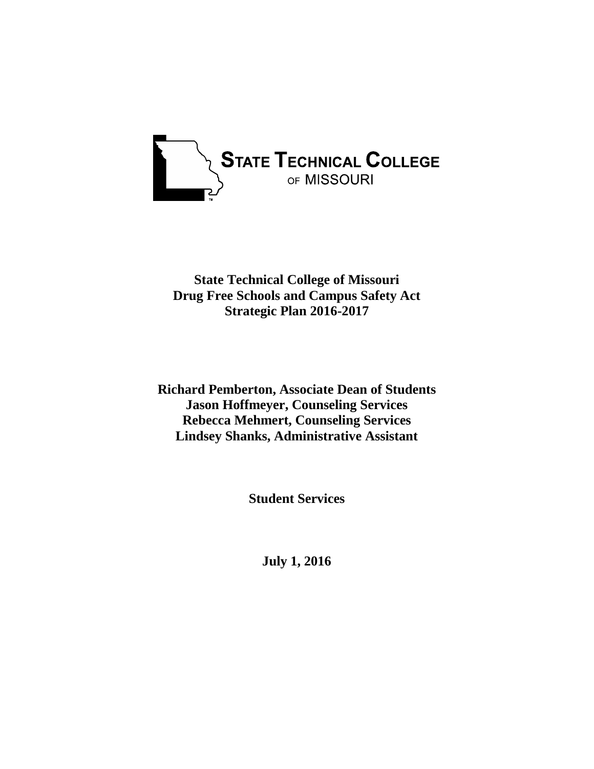

**State Technical College of Missouri Drug Free Schools and Campus Safety Act Strategic Plan 2016-2017**

**Richard Pemberton, Associate Dean of Students Jason Hoffmeyer, Counseling Services Rebecca Mehmert, Counseling Services Lindsey Shanks, Administrative Assistant**

**Student Services**

**July 1, 2016**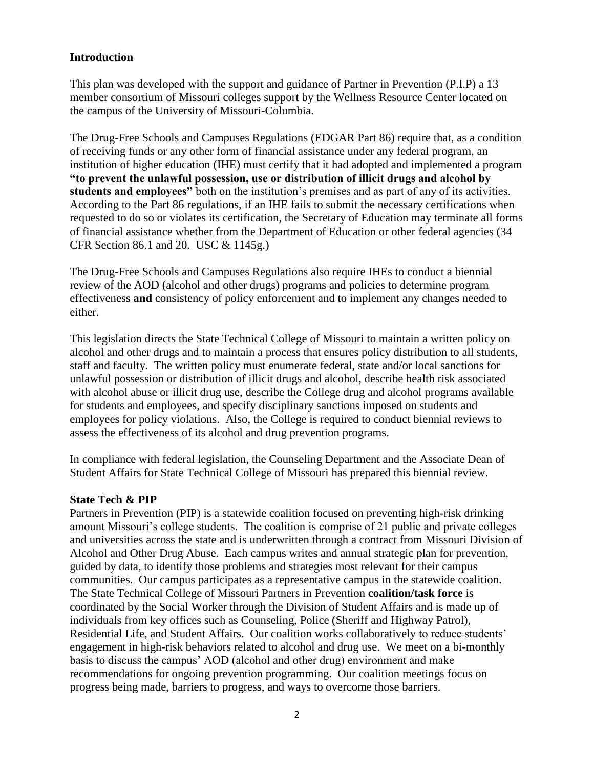## **Introduction**

This plan was developed with the support and guidance of Partner in Prevention (P.I.P) a 13 member consortium of Missouri colleges support by the Wellness Resource Center located on the campus of the University of Missouri-Columbia.

The Drug-Free Schools and Campuses Regulations (EDGAR Part 86) require that, as a condition of receiving funds or any other form of financial assistance under any federal program, an institution of higher education (IHE) must certify that it had adopted and implemented a program **"to prevent the unlawful possession, use or distribution of illicit drugs and alcohol by students and employees"** both on the institution's premises and as part of any of its activities. According to the Part 86 regulations, if an IHE fails to submit the necessary certifications when requested to do so or violates its certification, the Secretary of Education may terminate all forms of financial assistance whether from the Department of Education or other federal agencies (34 CFR Section 86.1 and 20. USC & 1145g.)

The Drug-Free Schools and Campuses Regulations also require IHEs to conduct a biennial review of the AOD (alcohol and other drugs) programs and policies to determine program effectiveness **and** consistency of policy enforcement and to implement any changes needed to either.

This legislation directs the State Technical College of Missouri to maintain a written policy on alcohol and other drugs and to maintain a process that ensures policy distribution to all students, staff and faculty. The written policy must enumerate federal, state and/or local sanctions for unlawful possession or distribution of illicit drugs and alcohol, describe health risk associated with alcohol abuse or illicit drug use, describe the College drug and alcohol programs available for students and employees, and specify disciplinary sanctions imposed on students and employees for policy violations. Also, the College is required to conduct biennial reviews to assess the effectiveness of its alcohol and drug prevention programs.

In compliance with federal legislation, the Counseling Department and the Associate Dean of Student Affairs for State Technical College of Missouri has prepared this biennial review.

#### **State Tech & PIP**

Partners in Prevention (PIP) is a statewide coalition focused on preventing high-risk drinking amount Missouri's college students. The coalition is comprise of 21 public and private colleges and universities across the state and is underwritten through a contract from Missouri Division of Alcohol and Other Drug Abuse. Each campus writes and annual strategic plan for prevention, guided by data, to identify those problems and strategies most relevant for their campus communities. Our campus participates as a representative campus in the statewide coalition. The State Technical College of Missouri Partners in Prevention **coalition/task force** is coordinated by the Social Worker through the Division of Student Affairs and is made up of individuals from key offices such as Counseling, Police (Sheriff and Highway Patrol), Residential Life, and Student Affairs. Our coalition works collaboratively to reduce students' engagement in high-risk behaviors related to alcohol and drug use. We meet on a bi-monthly basis to discuss the campus' AOD (alcohol and other drug) environment and make recommendations for ongoing prevention programming. Our coalition meetings focus on progress being made, barriers to progress, and ways to overcome those barriers.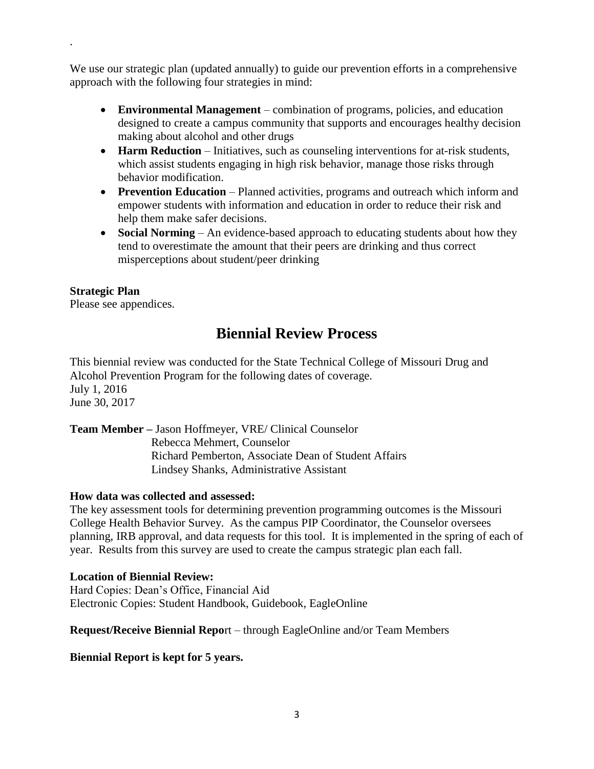We use our strategic plan (updated annually) to guide our prevention efforts in a comprehensive approach with the following four strategies in mind:

- **Environmental Management** combination of programs, policies, and education designed to create a campus community that supports and encourages healthy decision making about alcohol and other drugs
- **Harm Reduction** Initiatives, such as counseling interventions for at-risk students, which assist students engaging in high risk behavior, manage those risks through behavior modification.
- **Prevention Education** Planned activities, programs and outreach which inform and empower students with information and education in order to reduce their risk and help them make safer decisions.
- **Social Norming** An evidence-based approach to educating students about how they tend to overestimate the amount that their peers are drinking and thus correct misperceptions about student/peer drinking

# **Strategic Plan**

.

Please see appendices.

# **Biennial Review Process**

This biennial review was conducted for the State Technical College of Missouri Drug and Alcohol Prevention Program for the following dates of coverage. July 1, 2016 June 30, 2017

**Team Member –** Jason Hoffmeyer, VRE/ Clinical Counselor Rebecca Mehmert, Counselor Richard Pemberton, Associate Dean of Student Affairs Lindsey Shanks, Administrative Assistant

## **How data was collected and assessed:**

The key assessment tools for determining prevention programming outcomes is the Missouri College Health Behavior Survey. As the campus PIP Coordinator, the Counselor oversees planning, IRB approval, and data requests for this tool. It is implemented in the spring of each of year. Results from this survey are used to create the campus strategic plan each fall.

#### **Location of Biennial Review:**

Hard Copies: Dean's Office, Financial Aid Electronic Copies: Student Handbook, Guidebook, EagleOnline

**Request/Receive Biennial Repo**rt – through EagleOnline and/or Team Members

**Biennial Report is kept for 5 years.**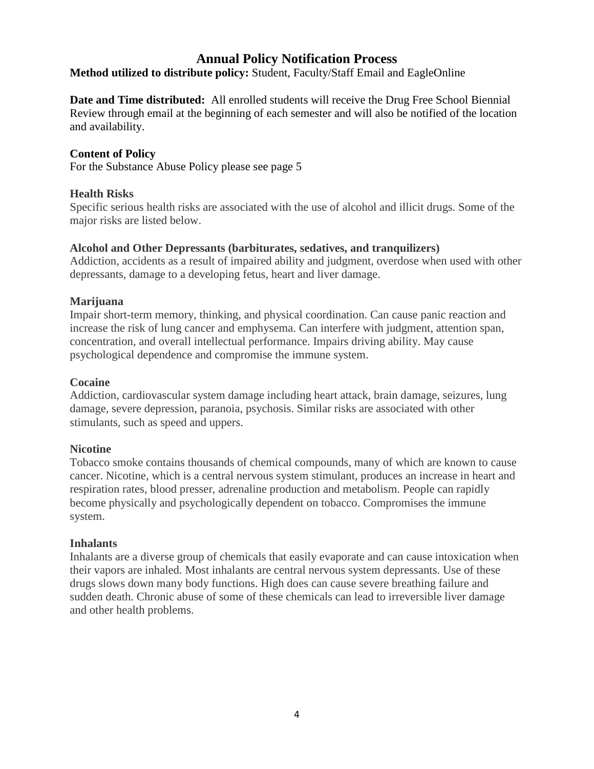# **Annual Policy Notification Process**

**Method utilized to distribute policy:** Student, Faculty/Staff Email and EagleOnline

**Date and Time distributed:** All enrolled students will receive the Drug Free School Biennial Review through email at the beginning of each semester and will also be notified of the location and availability.

## **Content of Policy**

For the Substance Abuse Policy please see page 5

#### **Health Risks**

Specific serious health risks are associated with the use of alcohol and illicit drugs. Some of the major risks are listed below.

#### **Alcohol and Other Depressants (barbiturates, sedatives, and tranquilizers)**

Addiction, accidents as a result of impaired ability and judgment, overdose when used with other depressants, damage to a developing fetus, heart and liver damage.

#### **Marijuana**

Impair short-term memory, thinking, and physical coordination. Can cause panic reaction and increase the risk of lung cancer and emphysema. Can interfere with judgment, attention span, concentration, and overall intellectual performance. Impairs driving ability. May cause psychological dependence and compromise the immune system.

#### **Cocaine**

Addiction, cardiovascular system damage including heart attack, brain damage, seizures, lung damage, severe depression, paranoia, psychosis. Similar risks are associated with other stimulants, such as speed and uppers.

#### **Nicotine**

Tobacco smoke contains thousands of chemical compounds, many of which are known to cause cancer. Nicotine, which is a central nervous system stimulant, produces an increase in heart and respiration rates, blood presser, adrenaline production and metabolism. People can rapidly become physically and psychologically dependent on tobacco. Compromises the immune system.

#### **Inhalants**

Inhalants are a diverse group of chemicals that easily evaporate and can cause intoxication when their vapors are inhaled. Most inhalants are central nervous system depressants. Use of these drugs slows down many body functions. High does can cause severe breathing failure and sudden death. Chronic abuse of some of these chemicals can lead to irreversible liver damage and other health problems.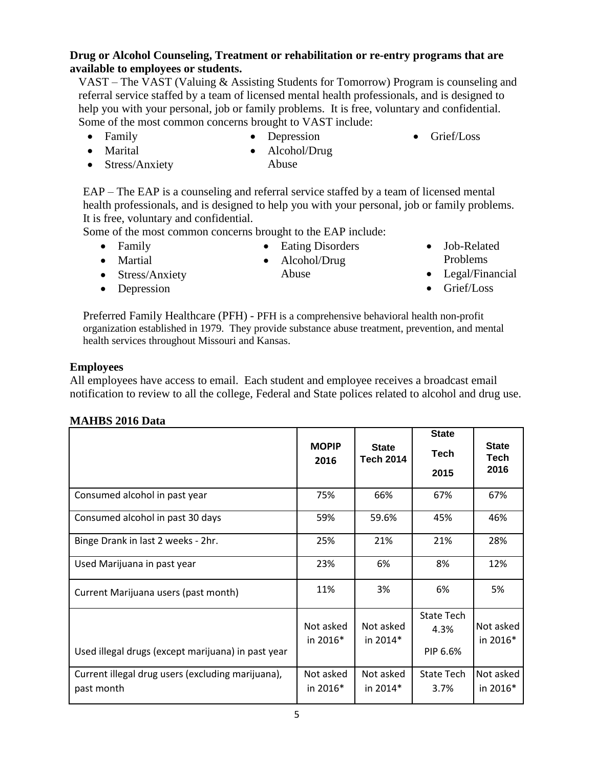# **Drug or Alcohol Counseling, Treatment or rehabilitation or re-entry programs that are available to employees or students.**

VAST – The VAST (Valuing & Assisting Students for Tomorrow) Program is counseling and referral service staffed by a team of licensed mental health professionals, and is designed to help you with your personal, job or family problems. It is free, voluntary and confidential. Some of the most common concerns brought to VAST include:

• Family

• Depression

• Grief/Loss

• Marital

- Alcohol/Drug Abuse
- 

• Stress/Anxiety

EAP – The EAP is a counseling and referral service staffed by a team of licensed mental health professionals, and is designed to help you with your personal, job or family problems.

It is free, voluntary and confidential.

Some of the most common concerns brought to the EAP include: • Eating Disorders

- Family
- Martial
- Stress/Anxiety
- Alcohol/Drug Abuse
- Job-Related Problems
- Legal/Financial
- Grief/Loss

• Depression

Preferred Family Healthcare (PFH) - PFH is a comprehensive behavioral health non-profit organization established in 1979. They provide substance abuse treatment, prevention, and mental health services throughout Missouri and Kansas.

# **Employees**

All employees have access to email. Each student and employee receives a broadcast email notification to review to all the college, Federal and State polices related to alcohol and drug use.

# **MAHBS 2016 Data**

|                                                                 | <b>MOPIP</b><br>2016    | <b>State</b><br><b>Tech 2014</b> | <b>State</b><br><b>Tech</b><br>2015   | <b>State</b><br>Tech<br>2016 |
|-----------------------------------------------------------------|-------------------------|----------------------------------|---------------------------------------|------------------------------|
| Consumed alcohol in past year                                   | 75%                     | 66%                              | 67%                                   | 67%                          |
| Consumed alcohol in past 30 days                                | 59%                     | 59.6%                            | 45%                                   | 46%                          |
| Binge Drank in last 2 weeks - 2hr.                              | 25%                     | 21%                              | 21%                                   | 28%                          |
| Used Marijuana in past year                                     | 23%                     | 6%                               | 8%                                    | 12%                          |
| Current Marijuana users (past month)                            | 11%                     | 3%                               | 6%                                    | 5%                           |
| Used illegal drugs (except marijuana) in past year              | Not asked<br>in 2016*   | Not asked<br>in 2014*            | <b>State Tech</b><br>4.3%<br>PIP 6.6% | Not asked<br>in 2016*        |
| Current illegal drug users (excluding marijuana),<br>past month | Not asked<br>in $2016*$ | Not asked<br>in $2014*$          | <b>State Tech</b><br>3.7%             | Not asked<br>in $2016*$      |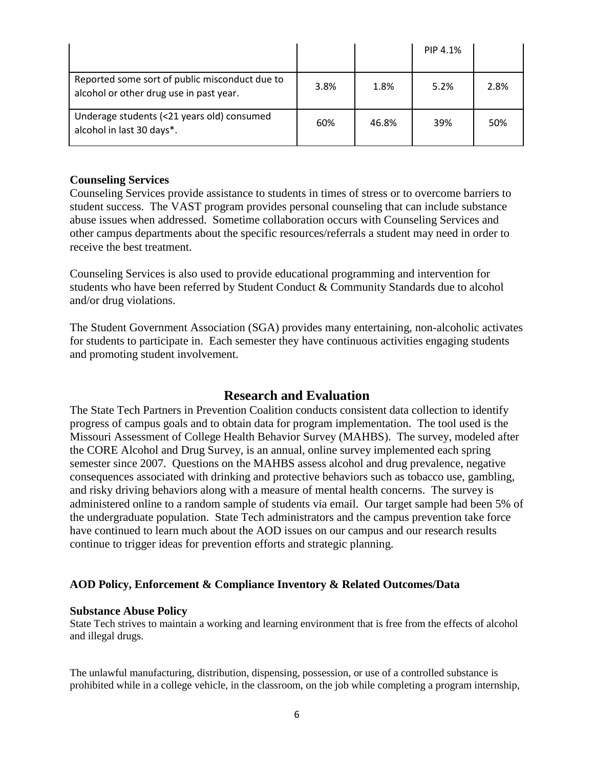|                                                                                           |      |       | PIP 4.1% |      |
|-------------------------------------------------------------------------------------------|------|-------|----------|------|
| Reported some sort of public misconduct due to<br>alcohol or other drug use in past year. | 3.8% | 1.8%  | 5.2%     | 2.8% |
| Underage students (<21 years old) consumed<br>alcohol in last 30 days*.                   | 60%  | 46.8% | 39%      | 50%  |

#### **Counseling Services**

Counseling Services provide assistance to students in times of stress or to overcome barriers to student success. The VAST program provides personal counseling that can include substance abuse issues when addressed. Sometime collaboration occurs with Counseling Services and other campus departments about the specific resources/referrals a student may need in order to receive the best treatment.

Counseling Services is also used to provide educational programming and intervention for students who have been referred by Student Conduct & Community Standards due to alcohol and/or drug violations.

The Student Government Association (SGA) provides many entertaining, non-alcoholic activates for students to participate in. Each semester they have continuous activities engaging students and promoting student involvement.

# **Research and Evaluation**

The State Tech Partners in Prevention Coalition conducts consistent data collection to identify progress of campus goals and to obtain data for program implementation. The tool used is the Missouri Assessment of College Health Behavior Survey (MAHBS). The survey, modeled after the CORE Alcohol and Drug Survey, is an annual, online survey implemented each spring semester since 2007. Questions on the MAHBS assess alcohol and drug prevalence, negative consequences associated with drinking and protective behaviors such as tobacco use, gambling, and risky driving behaviors along with a measure of mental health concerns. The survey is administered online to a random sample of students via email. Our target sample had been 5% of the undergraduate population. State Tech administrators and the campus prevention take force have continued to learn much about the AOD issues on our campus and our research results continue to trigger ideas for prevention efforts and strategic planning.

# **AOD Policy, Enforcement & Compliance Inventory & Related Outcomes/Data**

#### **Substance Abuse Policy**

State Tech strives to maintain a working and learning environment that is free from the effects of alcohol and illegal drugs.

The unlawful manufacturing, distribution, dispensing, possession, or use of a controlled substance is prohibited while in a college vehicle, in the classroom, on the job while completing a program internship,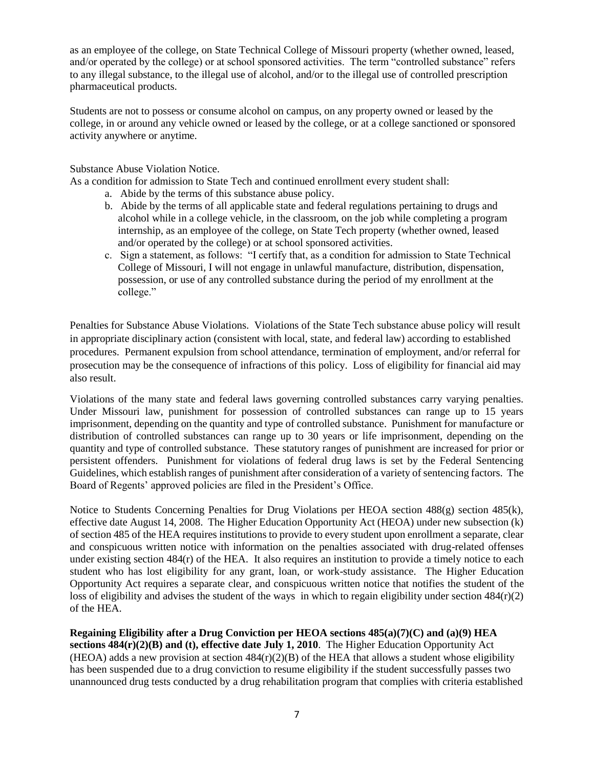as an employee of the college, on State Technical College of Missouri property (whether owned, leased, and/or operated by the college) or at school sponsored activities. The term "controlled substance" refers to any illegal substance, to the illegal use of alcohol, and/or to the illegal use of controlled prescription pharmaceutical products.

Students are not to possess or consume alcohol on campus, on any property owned or leased by the college, in or around any vehicle owned or leased by the college, or at a college sanctioned or sponsored activity anywhere or anytime.

Substance Abuse Violation Notice.

As a condition for admission to State Tech and continued enrollment every student shall:

- a. Abide by the terms of this substance abuse policy.
- b. Abide by the terms of all applicable state and federal regulations pertaining to drugs and alcohol while in a college vehicle, in the classroom, on the job while completing a program internship, as an employee of the college, on State Tech property (whether owned, leased and/or operated by the college) or at school sponsored activities.
- c. Sign a statement, as follows: "I certify that, as a condition for admission to State Technical College of Missouri, I will not engage in unlawful manufacture, distribution, dispensation, possession, or use of any controlled substance during the period of my enrollment at the college."

Penalties for Substance Abuse Violations. Violations of the State Tech substance abuse policy will result in appropriate disciplinary action (consistent with local, state, and federal law) according to established procedures. Permanent expulsion from school attendance, termination of employment, and/or referral for prosecution may be the consequence of infractions of this policy. Loss of eligibility for financial aid may also result.

Violations of the many state and federal laws governing controlled substances carry varying penalties. Under Missouri law, punishment for possession of controlled substances can range up to 15 years imprisonment, depending on the quantity and type of controlled substance. Punishment for manufacture or distribution of controlled substances can range up to 30 years or life imprisonment, depending on the quantity and type of controlled substance. These statutory ranges of punishment are increased for prior or persistent offenders. Punishment for violations of federal drug laws is set by the Federal Sentencing Guidelines, which establish ranges of punishment after consideration of a variety of sentencing factors. The Board of Regents' approved policies are filed in the President's Office.

Notice to Students Concerning Penalties for Drug Violations per HEOA section 488(g) section 485(k), effective date August 14, 2008. The Higher Education Opportunity Act (HEOA) under new subsection (k) of section 485 of the HEA requires institutions to provide to every student upon enrollment a separate, clear and conspicuous written notice with information on the penalties associated with drug-related offenses under existing section  $484(r)$  of the HEA. It also requires an institution to provide a timely notice to each student who has lost eligibility for any grant, loan, or work-study assistance. The Higher Education Opportunity Act requires a separate clear, and conspicuous written notice that notifies the student of the loss of eligibility and advises the student of the ways in which to regain eligibility under section  $484(r)(2)$ of the HEA.

**Regaining Eligibility after a Drug Conviction per HEOA sections 485(a)(7)(C) and (a)(9) HEA sections 484(r)(2)(B) and (t), effective date July 1, 2010**. The Higher Education Opportunity Act (HEOA) adds a new provision at section  $484(r)(2)(B)$  of the HEA that allows a student whose eligibility has been suspended due to a drug conviction to resume eligibility if the student successfully passes two unannounced drug tests conducted by a drug rehabilitation program that complies with criteria established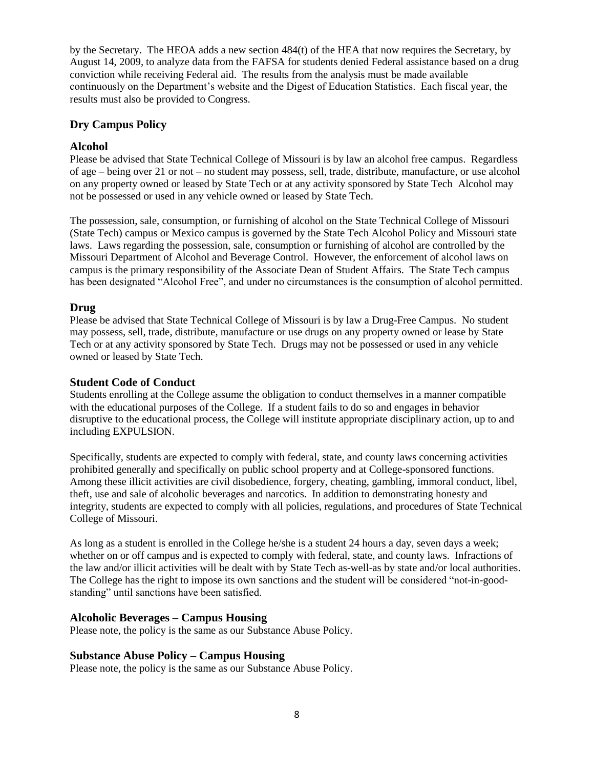by the Secretary. The HEOA adds a new section 484(t) of the HEA that now requires the Secretary, by August 14, 2009, to analyze data from the FAFSA for students denied Federal assistance based on a drug conviction while receiving Federal aid. The results from the analysis must be made available continuously on the Department's website and the Digest of Education Statistics. Each fiscal year, the results must also be provided to Congress.

#### **Dry Campus Policy**

#### **Alcohol**

Please be advised that State Technical College of Missouri is by law an alcohol free campus. Regardless of age – being over 21 or not – no student may possess, sell, trade, distribute, manufacture, or use alcohol on any property owned or leased by State Tech or at any activity sponsored by State Tech Alcohol may not be possessed or used in any vehicle owned or leased by State Tech.

The possession, sale, consumption, or furnishing of alcohol on the State Technical College of Missouri (State Tech) campus or Mexico campus is governed by the State Tech Alcohol Policy and Missouri state laws. Laws regarding the possession, sale, consumption or furnishing of alcohol are controlled by the Missouri Department of Alcohol and Beverage Control. However, the enforcement of alcohol laws on campus is the primary responsibility of the Associate Dean of Student Affairs. The State Tech campus has been designated "Alcohol Free", and under no circumstances is the consumption of alcohol permitted.

#### **Drug**

Please be advised that State Technical College of Missouri is by law a Drug-Free Campus. No student may possess, sell, trade, distribute, manufacture or use drugs on any property owned or lease by State Tech or at any activity sponsored by State Tech. Drugs may not be possessed or used in any vehicle owned or leased by State Tech.

#### **Student Code of Conduct**

Students enrolling at the College assume the obligation to conduct themselves in a manner compatible with the educational purposes of the College. If a student fails to do so and engages in behavior disruptive to the educational process, the College will institute appropriate disciplinary action, up to and including EXPULSION.

Specifically, students are expected to comply with federal, state, and county laws concerning activities prohibited generally and specifically on public school property and at College-sponsored functions. Among these illicit activities are civil disobedience, forgery, cheating, gambling, immoral conduct, libel, theft, use and sale of alcoholic beverages and narcotics. In addition to demonstrating honesty and integrity, students are expected to comply with all policies, regulations, and procedures of State Technical College of Missouri.

As long as a student is enrolled in the College he/she is a student 24 hours a day, seven days a week; whether on or off campus and is expected to comply with federal, state, and county laws. Infractions of the law and/or illicit activities will be dealt with by State Tech as-well-as by state and/or local authorities. The College has the right to impose its own sanctions and the student will be considered "not-in-goodstanding" until sanctions have been satisfied.

#### **Alcoholic Beverages – Campus Housing**

Please note, the policy is the same as our Substance Abuse Policy.

#### **Substance Abuse Policy – Campus Housing**

Please note, the policy is the same as our Substance Abuse Policy.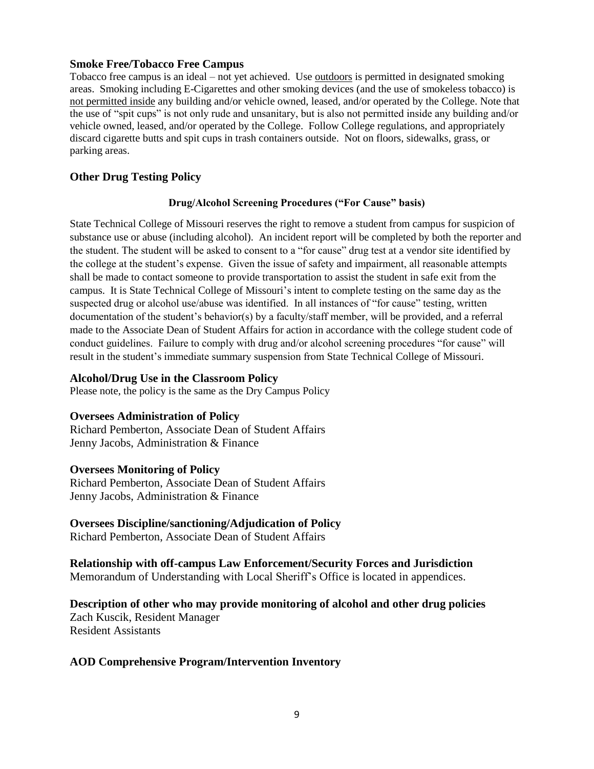#### **Smoke Free/Tobacco Free Campus**

Tobacco free campus is an ideal – not yet achieved. Use outdoors is permitted in designated smoking areas. Smoking including E-Cigarettes and other smoking devices (and the use of smokeless tobacco) is not permitted inside any building and/or vehicle owned, leased, and/or operated by the College. Note that the use of "spit cups" is not only rude and unsanitary, but is also not permitted inside any building and/or vehicle owned, leased, and/or operated by the College. Follow College regulations, and appropriately discard cigarette butts and spit cups in trash containers outside. Not on floors, sidewalks, grass, or parking areas.

#### **Other Drug Testing Policy**

#### **Drug/Alcohol Screening Procedures ("For Cause" basis)**

State Technical College of Missouri reserves the right to remove a student from campus for suspicion of substance use or abuse (including alcohol). An incident report will be completed by both the reporter and the student. The student will be asked to consent to a "for cause" drug test at a vendor site identified by the college at the student's expense. Given the issue of safety and impairment, all reasonable attempts shall be made to contact someone to provide transportation to assist the student in safe exit from the campus. It is State Technical College of Missouri's intent to complete testing on the same day as the suspected drug or alcohol use/abuse was identified. In all instances of "for cause" testing, written documentation of the student's behavior(s) by a faculty/staff member, will be provided, and a referral made to the Associate Dean of Student Affairs for action in accordance with the college student code of conduct guidelines. Failure to comply with drug and/or alcohol screening procedures "for cause" will result in the student's immediate summary suspension from State Technical College of Missouri.

#### **Alcohol/Drug Use in the Classroom Policy**

Please note, the policy is the same as the Dry Campus Policy

#### **Oversees Administration of Policy**

Richard Pemberton, Associate Dean of Student Affairs Jenny Jacobs, Administration & Finance

#### **Oversees Monitoring of Policy**

Richard Pemberton, Associate Dean of Student Affairs Jenny Jacobs, Administration & Finance

#### **Oversees Discipline/sanctioning/Adjudication of Policy**

Richard Pemberton, Associate Dean of Student Affairs

**Relationship with off-campus Law Enforcement/Security Forces and Jurisdiction** Memorandum of Understanding with Local Sheriff's Office is located in appendices.

**Description of other who may provide monitoring of alcohol and other drug policies** Zach Kuscik, Resident Manager Resident Assistants

#### **AOD Comprehensive Program/Intervention Inventory**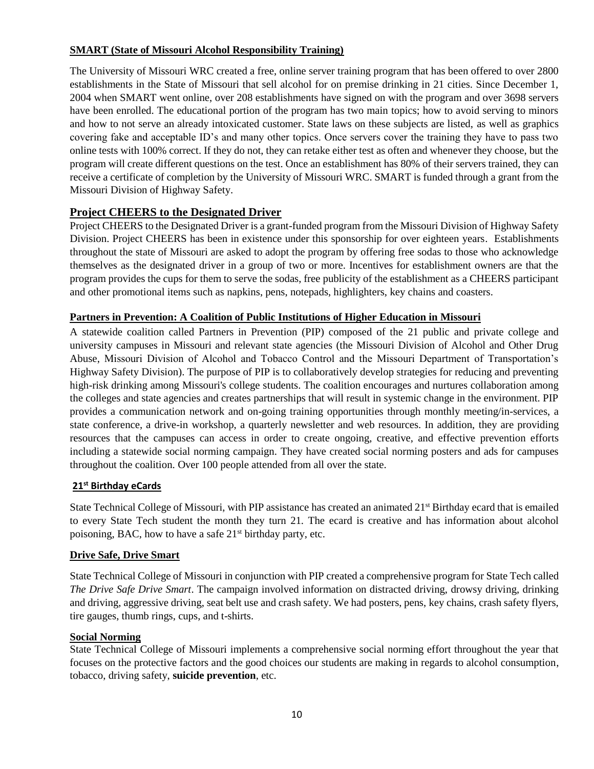## **SMART (State of Missouri Alcohol Responsibility Training)**

The University of Missouri WRC created a free, online server training program that has been offered to over 2800 establishments in the State of Missouri that sell alcohol for on premise drinking in 21 cities. Since December 1, 2004 when SMART went online, over 208 establishments have signed on with the program and over 3698 servers have been enrolled. The educational portion of the program has two main topics; how to avoid serving to minors and how to not serve an already intoxicated customer. State laws on these subjects are listed, as well as graphics covering fake and acceptable ID's and many other topics. Once servers cover the training they have to pass two online tests with 100% correct. If they do not, they can retake either test as often and whenever they choose, but the program will create different questions on the test. Once an establishment has 80% of their servers trained, they can receive a certificate of completion by the University of Missouri WRC. SMART is funded through a grant from the Missouri Division of Highway Safety.

## **Project CHEERS to the Designated Driver**

Project CHEERS to the Designated Driver is a grant-funded program from the Missouri Division of Highway Safety Division. Project CHEERS has been in existence under this sponsorship for over eighteen years. Establishments throughout the state of Missouri are asked to adopt the program by offering free sodas to those who acknowledge themselves as the designated driver in a group of two or more. Incentives for establishment owners are that the program provides the cups for them to serve the sodas, free publicity of the establishment as a CHEERS participant and other promotional items such as napkins, pens, notepads, highlighters, key chains and coasters.

#### **Partners in Prevention: A Coalition of Public Institutions of Higher Education in Missouri**

A statewide coalition called Partners in Prevention (PIP) composed of the 21 public and private college and university campuses in Missouri and relevant state agencies (the Missouri Division of Alcohol and Other Drug Abuse, Missouri Division of Alcohol and Tobacco Control and the Missouri Department of Transportation's Highway Safety Division). The purpose of PIP is to collaboratively develop strategies for reducing and preventing high-risk drinking among Missouri's college students. The coalition encourages and nurtures collaboration among the colleges and state agencies and creates partnerships that will result in systemic change in the environment. PIP provides a communication network and on-going training opportunities through monthly meeting/in-services, a state conference, a drive-in workshop, a quarterly newsletter and web resources. In addition, they are providing resources that the campuses can access in order to create ongoing, creative, and effective prevention efforts including a statewide social norming campaign. They have created social norming posters and ads for campuses throughout the coalition. Over 100 people attended from all over the state.

#### **21st Birthday eCards**

State Technical College of Missouri, with PIP assistance has created an animated 21<sup>st</sup> Birthday ecard that is emailed to every State Tech student the month they turn 21. The ecard is creative and has information about alcohol poisoning, BAC, how to have a safe 21<sup>st</sup> birthday party, etc.

#### **Drive Safe, Drive Smart**

State Technical College of Missouri in conjunction with PIP created a comprehensive program for State Tech called *The Drive Safe Drive Smart*. The campaign involved information on distracted driving, drowsy driving, drinking and driving, aggressive driving, seat belt use and crash safety. We had posters, pens, key chains, crash safety flyers, tire gauges, thumb rings, cups, and t-shirts.

#### **Social Norming**

State Technical College of Missouri implements a comprehensive social norming effort throughout the year that focuses on the protective factors and the good choices our students are making in regards to alcohol consumption, tobacco, driving safety, **suicide prevention**, etc.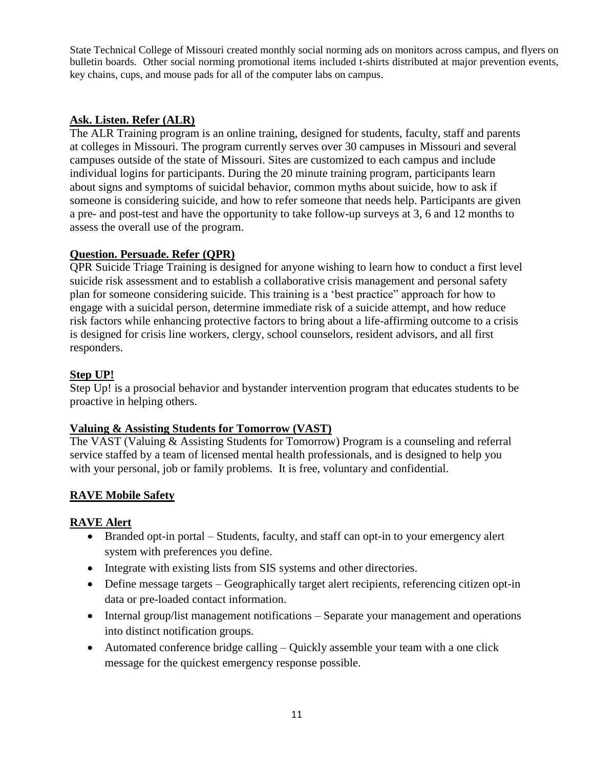State Technical College of Missouri created monthly social norming ads on monitors across campus, and flyers on bulletin boards. Other social norming promotional items included t-shirts distributed at major prevention events, key chains, cups, and mouse pads for all of the computer labs on campus.

# **Ask. Listen. Refer (ALR)**

The ALR Training program is an online training, designed for students, faculty, staff and parents at colleges in Missouri. The program currently serves over 30 campuses in Missouri and several campuses outside of the state of Missouri. Sites are customized to each campus and include individual logins for participants. During the 20 minute training program, participants learn about signs and symptoms of suicidal behavior, common myths about suicide, how to ask if someone is considering suicide, and how to refer someone that needs help. Participants are given a pre- and post-test and have the opportunity to take follow-up surveys at 3, 6 and 12 months to assess the overall use of the program.

## **Question. Persuade. Refer (QPR)**

QPR Suicide Triage Training is designed for anyone wishing to learn how to conduct a first level suicide risk assessment and to establish a collaborative crisis management and personal safety plan for someone considering suicide. This training is a 'best practice" approach for how to engage with a suicidal person, determine immediate risk of a suicide attempt, and how reduce risk factors while enhancing protective factors to bring about a life-affirming outcome to a crisis is designed for crisis line workers, clergy, school counselors, resident advisors, and all first responders.

## **Step UP!**

Step Up! is a prosocial behavior and bystander intervention program that educates students to be proactive in helping others.

#### **Valuing & Assisting Students for Tomorrow (VAST)**

The VAST (Valuing & Assisting Students for Tomorrow) Program is a counseling and referral service staffed by a team of licensed mental health professionals, and is designed to help you with your personal, job or family problems. It is free, voluntary and confidential.

# **RAVE Mobile Safety**

#### **RAVE Alert**

- Branded opt-in portal Students, faculty, and staff can opt-in to your emergency alert system with preferences you define.
- Integrate with existing lists from SIS systems and other directories.
- Define message targets Geographically target alert recipients, referencing citizen opt-in data or pre-loaded contact information.
- Internal group/list management notifications Separate your management and operations into distinct notification groups.
- Automated conference bridge calling Quickly assemble your team with a one click message for the quickest emergency response possible.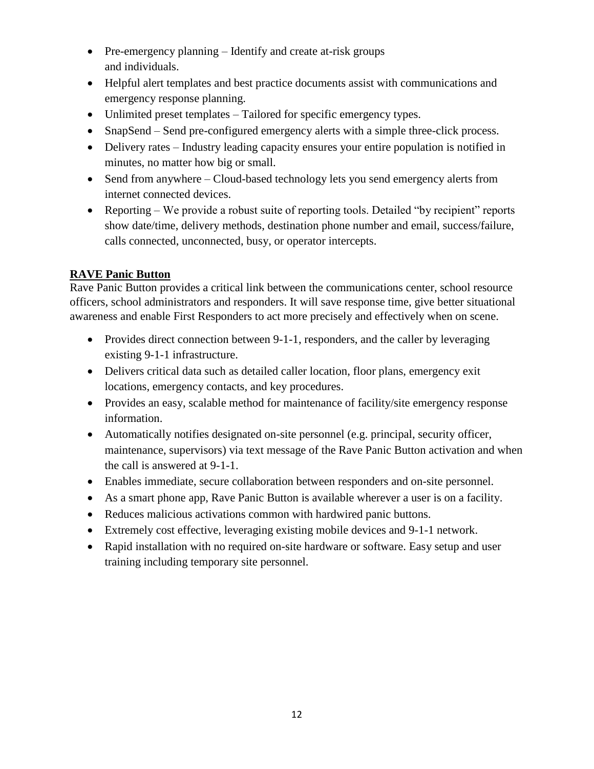- Pre-emergency planning Identify and create at-risk groups and individuals.
- Helpful alert templates and best practice documents assist with communications and emergency response planning.
- Unlimited preset templates Tailored for specific emergency types.
- SnapSend Send pre-configured emergency alerts with a simple three-click process.
- Delivery rates Industry leading capacity ensures your entire population is notified in minutes, no matter how big or small.
- Send from anywhere Cloud-based technology lets you send emergency alerts from internet connected devices.
- Reporting We provide a robust suite of reporting tools. Detailed "by recipient" reports show date/time, delivery methods, destination phone number and email, success/failure, calls connected, unconnected, busy, or operator intercepts.

# **RAVE Panic Button**

Rave Panic Button provides a critical link between the communications center, school resource officers, school administrators and responders. It will save response time, give better situational awareness and enable First Responders to act more precisely and effectively when on scene.

- Provides direct connection between 9-1-1, responders, and the caller by leveraging existing 9-1-1 infrastructure.
- Delivers critical data such as detailed caller location, floor plans, emergency exit locations, emergency contacts, and key procedures.
- Provides an easy, scalable method for maintenance of facility/site emergency response information.
- Automatically notifies designated on-site personnel (e.g. principal, security officer, maintenance, supervisors) via text message of the Rave Panic Button activation and when the call is answered at 9-1-1.
- Enables immediate, secure collaboration between responders and on-site personnel.
- As a smart phone app, Rave Panic Button is available wherever a user is on a facility.
- Reduces malicious activations common with hardwired panic buttons.
- Extremely cost effective, leveraging existing mobile devices and 9-1-1 network.
- Rapid installation with no required on-site hardware or software. Easy setup and user training including temporary site personnel.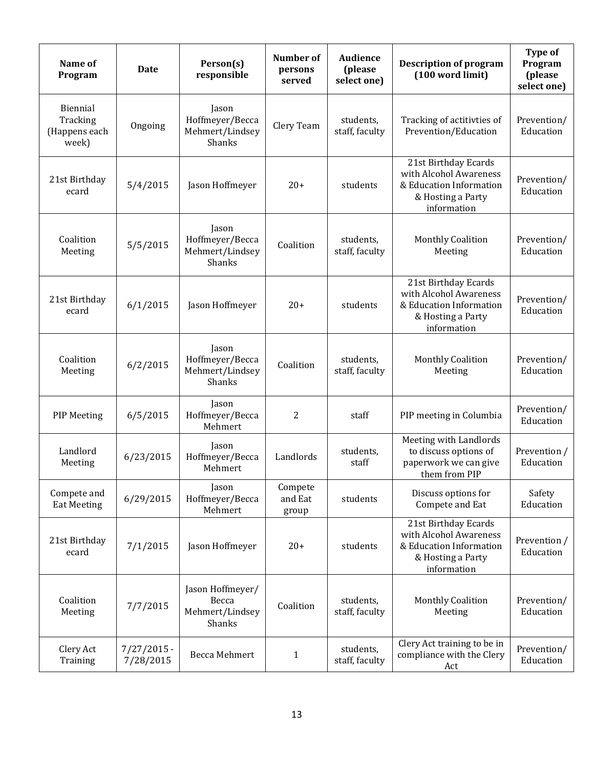| Name of<br>Program                             | <b>Date</b>                | Person(s)<br>responsible                               | <b>Number</b> of<br>persons<br>served | Audience<br>(please<br>select one) | <b>Description of program</b><br>(100 word limit)                                                             | <b>Type of</b><br>Program<br>(please<br>select one) |
|------------------------------------------------|----------------------------|--------------------------------------------------------|---------------------------------------|------------------------------------|---------------------------------------------------------------------------------------------------------------|-----------------------------------------------------|
| Biennial<br>Tracking<br>(Happens each<br>week) | Ongoing                    | Jason<br>Hoffmeyer/Becca<br>Mehmert/Lindsey<br>Shanks  | Clery Team                            | students,<br>staff, faculty        | Tracking of actitivties of<br>Prevention/Education                                                            |                                                     |
| 21st Birthday<br>ecard                         | 5/4/2015                   | Jason Hoffmeyer                                        | $20+$                                 | students                           | 21st Birthday Ecards<br>with Alcohol Awareness<br>& Education Information<br>& Hosting a Party<br>information | Prevention/<br>Education                            |
| Coalition<br>Meeting                           | 5/5/2015                   | Jason<br>Hoffmeyer/Becca<br>Mehmert/Lindsey<br>Shanks  | Coalition                             | students,<br>staff, faculty        | <b>Monthly Coalition</b><br>Meeting                                                                           | Prevention/<br>Education                            |
| 21st Birthday<br>ecard                         | 6/1/2015                   | Jason Hoffmeyer                                        | $20+$                                 | students                           | 21st Birthday Ecards<br>with Alcohol Awareness<br>& Education Information<br>& Hosting a Party<br>information | Prevention/<br>Education                            |
| Coalition<br>Meeting                           | 6/2/2015                   | Jason<br>Hoffmeyer/Becca<br>Mehmert/Lindsey<br>Shanks  | Coalition                             | students,<br>staff, faculty        | <b>Monthly Coalition</b><br>Meeting                                                                           | Prevention/<br>Education                            |
| <b>PIP Meeting</b>                             | 6/5/2015                   | Jason<br>Hoffmeyer/Becca<br>Mehmert                    | 2                                     | staff                              | PIP meeting in Columbia                                                                                       | Prevention/<br>Education                            |
| Landlord<br>Meeting                            | 6/23/2015                  | Jason<br>Hoffmeyer/Becca<br>Mehmert                    | Landlords                             | students,<br>staff                 | Meeting with Landlords<br>to discuss options of<br>paperwork we can give<br>them from PIP                     | Prevention /<br>Education                           |
| Compete and<br><b>Eat Meeting</b>              | 6/29/2015                  | Jason<br>Hoffmeyer/Becca<br>Mehmert                    | Compete<br>and Eat<br>group           | students                           | Discuss options for<br>Compete and Eat                                                                        | Safety<br>Education                                 |
| 21st Birthday<br>ecard                         | 7/1/2015                   | Jason Hoffmeyer                                        | $20+$                                 | students                           | 21st Birthday Ecards<br>with Alcohol Awareness<br>& Education Information<br>& Hosting a Party<br>information | Prevention /<br>Education                           |
| Coalition<br>Meeting                           | 7/7/2015                   | Jason Hoffmeyer/<br>Becca<br>Mehmert/Lindsey<br>Shanks | Coalition                             | students,<br>staff, faculty        | <b>Monthly Coalition</b><br>Meeting                                                                           | Prevention/<br>Education                            |
| Clery Act<br>Training                          | $7/27/2015$ -<br>7/28/2015 | Becca Mehmert                                          | $\mathbf{1}$                          | students,<br>staff, faculty        | Clery Act training to be in<br>compliance with the Clery<br>Act                                               | Prevention/<br>Education                            |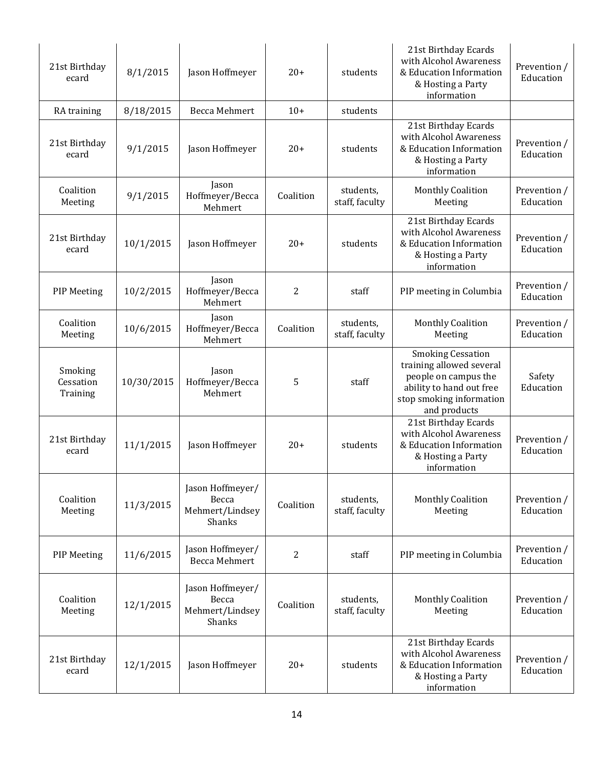| 21st Birthday<br>ecard           | 8/1/2015   | Jason Hoffmeyer                                        | $20+$          | students                    | 21st Birthday Ecards<br>with Alcohol Awareness<br>& Education Information<br>& Hosting a Party<br>information                                        | Prevention /<br>Education |
|----------------------------------|------------|--------------------------------------------------------|----------------|-----------------------------|------------------------------------------------------------------------------------------------------------------------------------------------------|---------------------------|
| RA training                      | 8/18/2015  | <b>Becca Mehmert</b>                                   | $10+$          | students                    |                                                                                                                                                      |                           |
| 21st Birthday<br>ecard           | 9/1/2015   | Jason Hoffmeyer                                        | $20+$          | students                    | 21st Birthday Ecards<br>with Alcohol Awareness<br>& Education Information<br>& Hosting a Party<br>information                                        | Prevention /<br>Education |
| Coalition<br>Meeting             | 9/1/2015   | Jason<br>Hoffmeyer/Becca<br>Mehmert                    | Coalition      | students,<br>staff, faculty | <b>Monthly Coalition</b><br>Meeting                                                                                                                  | Prevention /<br>Education |
| 21st Birthday<br>ecard           | 10/1/2015  | Jason Hoffmeyer                                        | $20+$          | students                    | 21st Birthday Ecards<br>with Alcohol Awareness<br>& Education Information<br>& Hosting a Party<br>information                                        | Prevention /<br>Education |
| <b>PIP</b> Meeting               | 10/2/2015  | Jason<br>Hoffmeyer/Becca<br>Mehmert                    | $\overline{2}$ | staff                       | PIP meeting in Columbia                                                                                                                              | Prevention /<br>Education |
| Coalition<br>Meeting             | 10/6/2015  | Jason<br>Hoffmeyer/Becca<br>Mehmert                    | Coalition      | students,<br>staff, faculty | <b>Monthly Coalition</b><br>Meeting                                                                                                                  | Prevention /<br>Education |
| Smoking<br>Cessation<br>Training | 10/30/2015 | Jason<br>Hoffmeyer/Becca<br>Mehmert                    | 5              | staff                       | <b>Smoking Cessation</b><br>training allowed several<br>people on campus the<br>ability to hand out free<br>stop smoking information<br>and products | Safety<br>Education       |
| 21st Birthday<br>ecard           | 11/1/2015  | Jason Hoffmeyer                                        | $20+$          | students                    | 21st Birthday Ecards<br>with Alcohol Awareness<br>& Education Information<br>& Hosting a Party<br>information                                        | Prevention /<br>Education |
| Coalition<br>Meeting             | 11/3/2015  | Jason Hoffmeyer/<br>Becca<br>Mehmert/Lindsey<br>Shanks | Coalition      | students,<br>staff, faculty | <b>Monthly Coalition</b><br>Meeting                                                                                                                  | Prevention /<br>Education |
| <b>PIP Meeting</b>               | 11/6/2015  | Jason Hoffmeyer/<br><b>Becca Mehmert</b>               | 2              | staff                       | PIP meeting in Columbia                                                                                                                              | Prevention /<br>Education |
| Coalition<br>Meeting             | 12/1/2015  | Jason Hoffmeyer/<br>Becca<br>Mehmert/Lindsey<br>Shanks | Coalition      | students,<br>staff, faculty | <b>Monthly Coalition</b><br>Meeting                                                                                                                  | Prevention /<br>Education |
| 21st Birthday<br>ecard           | 12/1/2015  | Jason Hoffmeyer                                        | $20+$          | students                    | 21st Birthday Ecards<br>with Alcohol Awareness<br>& Education Information<br>& Hosting a Party<br>information                                        | Prevention /<br>Education |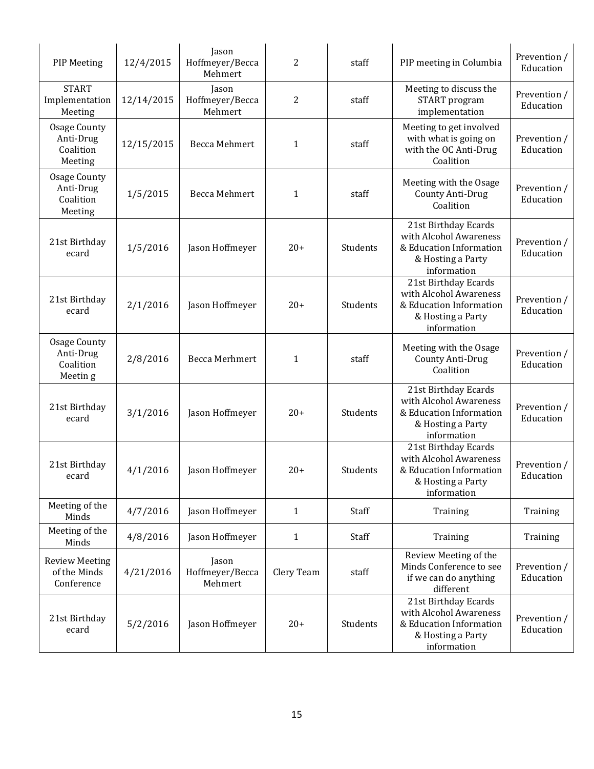| <b>PIP Meeting</b>                                        | 12/4/2015  | Jason<br>Hoffmeyer/Becca<br>Mehmert | 2              | staff    | PIP meeting in Columbia                                                                                       | Prevention /<br>Education |
|-----------------------------------------------------------|------------|-------------------------------------|----------------|----------|---------------------------------------------------------------------------------------------------------------|---------------------------|
| <b>START</b><br>Implementation<br>Meeting                 | 12/14/2015 | Jason<br>Hoffmeyer/Becca<br>Mehmert | $\overline{c}$ | staff    | Meeting to discuss the<br>START program<br>implementation                                                     | Prevention /<br>Education |
| <b>Osage County</b><br>Anti-Drug<br>Coalition<br>Meeting  | 12/15/2015 | Becca Mehmert                       | $\mathbf{1}$   | staff    | Meeting to get involved<br>with what is going on<br>with the OC Anti-Drug<br>Coalition                        | Prevention /<br>Education |
| <b>Osage County</b><br>Anti-Drug<br>Coalition<br>Meeting  | 1/5/2015   | Becca Mehmert                       | $\mathbf{1}$   | staff    | Meeting with the Osage<br>County Anti-Drug<br>Coalition                                                       | Prevention /<br>Education |
| 21st Birthday<br>ecard                                    | 1/5/2016   | Jason Hoffmeyer                     | $20+$          | Students | 21st Birthday Ecards<br>with Alcohol Awareness<br>& Education Information<br>& Hosting a Party<br>information | Prevention /<br>Education |
| 21st Birthday<br>ecard                                    | 2/1/2016   | Jason Hoffmeyer                     | $20+$          | Students | 21st Birthday Ecards<br>with Alcohol Awareness<br>& Education Information<br>& Hosting a Party<br>information | Prevention /<br>Education |
| <b>Osage County</b><br>Anti-Drug<br>Coalition<br>Meetin g | 2/8/2016   | Becca Merhmert                      | $\mathbf{1}$   | staff    | Meeting with the Osage<br>County Anti-Drug<br>Coalition                                                       | Prevention /<br>Education |
| 21st Birthday<br>ecard                                    | 3/1/2016   | Jason Hoffmeyer                     | $20+$          | Students | 21st Birthday Ecards<br>with Alcohol Awareness<br>& Education Information<br>& Hosting a Party<br>information | Prevention /<br>Education |
| 21st Birthday<br>ecard                                    | 4/1/2016   | Jason Hoffmeyer                     | $20+$          | Students | 21st Birthday Ecards<br>with Alcohol Awareness<br>& Education Information<br>& Hosting a Party<br>information | Prevention /<br>Education |
| Meeting of the<br>Minds                                   | 4/7/2016   | Jason Hoffmeyer                     | $\mathbf{1}$   | Staff    | Training                                                                                                      | Training                  |
| Meeting of the<br>Minds                                   | 4/8/2016   | Jason Hoffmeyer                     | $\mathbf{1}$   | Staff    | Training                                                                                                      | Training                  |
| <b>Review Meeting</b><br>of the Minds<br>Conference       | 4/21/2016  | Jason<br>Hoffmeyer/Becca<br>Mehmert | Clery Team     | staff    | Review Meeting of the<br>Minds Conference to see<br>if we can do anything<br>different                        | Prevention /<br>Education |
| 21st Birthday<br>ecard                                    | 5/2/2016   | Jason Hoffmeyer                     | $20+$          | Students | 21st Birthday Ecards<br>with Alcohol Awareness<br>& Education Information<br>& Hosting a Party<br>information | Prevention /<br>Education |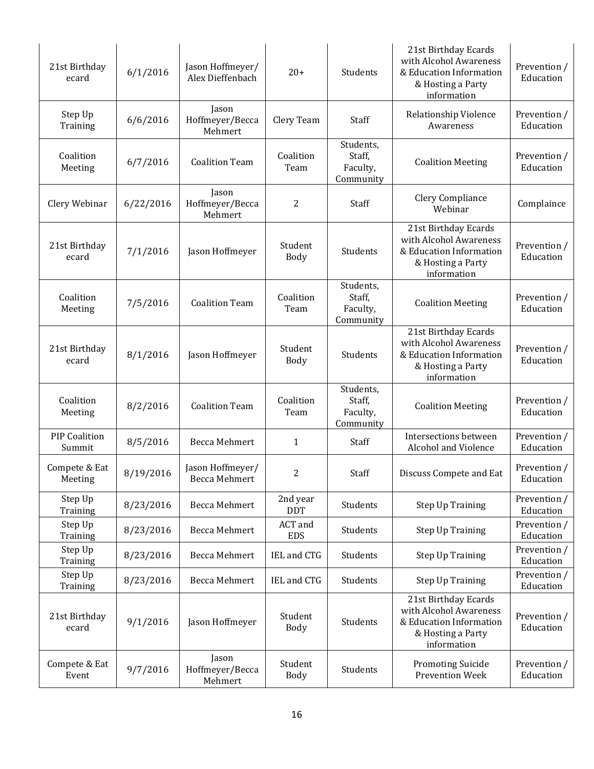| 21st Birthday<br>ecard         | 6/1/2016  | Jason Hoffmeyer/<br>Alex Dieffenbach     | $20+$                  | Students                                     | 21st Birthday Ecards<br>with Alcohol Awareness<br>& Education Information<br>& Hosting a Party<br>information | Prevention /<br>Education |
|--------------------------------|-----------|------------------------------------------|------------------------|----------------------------------------------|---------------------------------------------------------------------------------------------------------------|---------------------------|
| Step Up<br>Training            | 6/6/2016  | Jason<br>Hoffmeyer/Becca<br>Mehmert      | Clery Team             | Staff                                        | Relationship Violence<br>Awareness                                                                            | Prevention /<br>Education |
| Coalition<br>Meeting           | 6/7/2016  | <b>Coalition Team</b>                    | Coalition<br>Team      | Students,<br>Staff,<br>Faculty,<br>Community | <b>Coalition Meeting</b>                                                                                      | Prevention /<br>Education |
| Clery Webinar                  | 6/22/2016 | Jason<br>Hoffmeyer/Becca<br>Mehmert      | 2                      | Staff                                        | Clery Compliance<br>Webinar                                                                                   | Complaince                |
| 21st Birthday<br>ecard         | 7/1/2016  | Jason Hoffmeyer                          | Student<br>Body        | Students                                     | 21st Birthday Ecards<br>with Alcohol Awareness<br>& Education Information<br>& Hosting a Party<br>information | Prevention /<br>Education |
| Coalition<br>Meeting           | 7/5/2016  | <b>Coalition Team</b>                    | Coalition<br>Team      | Students,<br>Staff,<br>Faculty,<br>Community | <b>Coalition Meeting</b>                                                                                      | Prevention /<br>Education |
| 21st Birthday<br>ecard         | 8/1/2016  | Jason Hoffmeyer                          | Student<br>Body        | Students                                     | 21st Birthday Ecards<br>with Alcohol Awareness<br>& Education Information<br>& Hosting a Party<br>information | Prevention /<br>Education |
| Coalition<br>Meeting           | 8/2/2016  | <b>Coalition Team</b>                    | Coalition<br>Team      | Students,<br>Staff,<br>Faculty,<br>Community | <b>Coalition Meeting</b>                                                                                      | Prevention /<br>Education |
| <b>PIP Coalition</b><br>Summit | 8/5/2016  | Becca Mehmert                            | $\mathbf{1}$           | Staff                                        | Intersections between<br>Alcohol and Violence                                                                 | Prevention /<br>Education |
| Compete & Eat<br>Meeting       | 8/19/2016 | Jason Hoffmeyer/<br><b>Becca Mehmert</b> | 2                      | Staff                                        | Discuss Compete and Eat                                                                                       | Prevention /<br>Education |
| Step Up<br>Training            | 8/23/2016 | Becca Mehmert                            | 2nd year<br><b>DDT</b> | Students                                     | Step Up Training                                                                                              | Prevention /<br>Education |
| Step Up<br>Training            | 8/23/2016 | Becca Mehmert                            | ACT and<br><b>EDS</b>  | Students                                     | Step Up Training                                                                                              | Prevention /<br>Education |
| Step Up<br>Training            | 8/23/2016 | Becca Mehmert                            | IEL and CTG            | Students                                     | Step Up Training                                                                                              | Prevention /<br>Education |
| Step Up<br>Training            | 8/23/2016 | <b>Becca Mehmert</b>                     | IEL and CTG            | Students                                     | Step Up Training                                                                                              | Prevention /<br>Education |
| 21st Birthday<br>ecard         | 9/1/2016  | Jason Hoffmeyer                          | Student<br>Body        | Students                                     | 21st Birthday Ecards<br>with Alcohol Awareness<br>& Education Information<br>& Hosting a Party<br>information | Prevention /<br>Education |
| Compete & Eat<br>Event         | 9/7/2016  | Jason<br>Hoffmeyer/Becca<br>Mehmert      | Student<br><b>Body</b> | Students                                     | <b>Promoting Suicide</b><br><b>Prevention Week</b>                                                            | Prevention /<br>Education |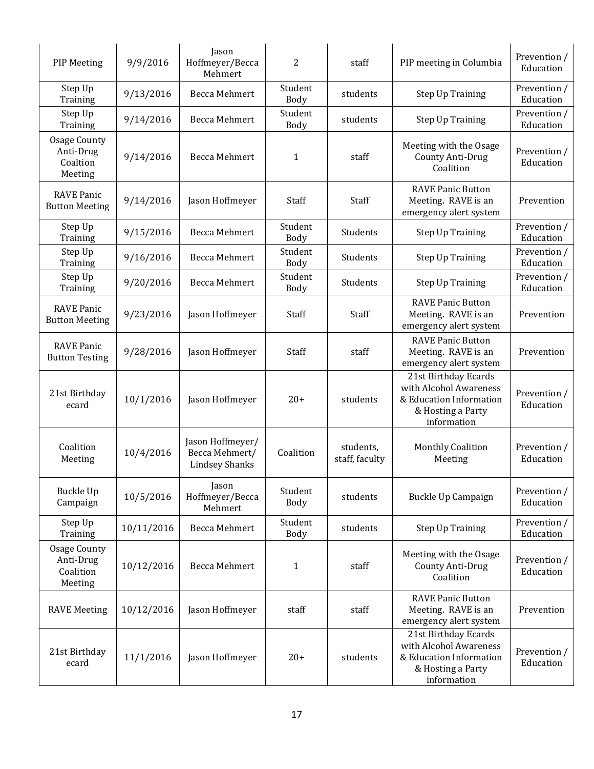| <b>PIP Meeting</b>                                       | 9/9/2016   | Jason<br>Hoffmeyer/Becca<br>Mehmert                         | 2                      | staff                       | PIP meeting in Columbia                                                                                       | Prevention /<br>Education |
|----------------------------------------------------------|------------|-------------------------------------------------------------|------------------------|-----------------------------|---------------------------------------------------------------------------------------------------------------|---------------------------|
| Step Up<br>Training                                      | 9/13/2016  | Becca Mehmert                                               | Student<br>Body        | students                    | Step Up Training                                                                                              | Prevention /<br>Education |
| Step Up<br>Training                                      | 9/14/2016  | Becca Mehmert                                               | Student<br>Body        | students                    | <b>Step Up Training</b>                                                                                       | Prevention /<br>Education |
| <b>Osage County</b><br>Anti-Drug<br>Coaltion<br>Meeting  | 9/14/2016  | <b>Becca Mehmert</b>                                        | $\mathbf{1}$           | staff                       | Meeting with the Osage<br><b>County Anti-Drug</b><br>Coalition                                                | Prevention /<br>Education |
| <b>RAVE Panic</b><br><b>Button Meeting</b>               | 9/14/2016  | Jason Hoffmeyer                                             | Staff                  | Staff                       | <b>RAVE Panic Button</b><br>Meeting. RAVE is an<br>emergency alert system                                     | Prevention                |
| Step Up<br>Training                                      | 9/15/2016  | Becca Mehmert                                               | Student<br>Body        | Students                    | <b>Step Up Training</b>                                                                                       | Prevention /<br>Education |
| Step Up<br>Training                                      | 9/16/2016  | <b>Becca Mehmert</b>                                        | Student<br>Body        | Students                    | <b>Step Up Training</b>                                                                                       | Prevention /<br>Education |
| Step Up<br>Training                                      | 9/20/2016  | Becca Mehmert                                               | Student<br>Body        | Students                    | <b>Step Up Training</b>                                                                                       | Prevention /<br>Education |
| <b>RAVE Panic</b><br><b>Button Meeting</b>               | 9/23/2016  | Jason Hoffmeyer                                             | Staff                  | Staff                       | <b>RAVE Panic Button</b><br>Meeting. RAVE is an<br>emergency alert system                                     | Prevention                |
| <b>RAVE Panic</b><br><b>Button Testing</b>               | 9/28/2016  | Jason Hoffmeyer                                             | Staff                  | staff                       | <b>RAVE Panic Button</b><br>Meeting. RAVE is an<br>emergency alert system                                     | Prevention                |
| 21st Birthday<br>ecard                                   | 10/1/2016  | Jason Hoffmeyer                                             | $20+$                  | students                    | 21st Birthday Ecards<br>with Alcohol Awareness<br>& Education Information<br>& Hosting a Party<br>information | Prevention /<br>Education |
| Coalition<br>Meeting                                     | 10/4/2016  | Jason Hoffmeyer/<br>Becca Mehmert/<br><b>Lindsey Shanks</b> | Coalition              | students,<br>staff, faculty | <b>Monthly Coalition</b><br>Meeting                                                                           | Prevention /<br>Education |
| Buckle Up<br>Campaign                                    | 10/5/2016  | Jason<br>Hoffmeyer/Becca<br>Mehmert                         | Student<br><b>Body</b> | students                    | Buckle Up Campaign                                                                                            | Prevention /<br>Education |
| Step Up<br>Training                                      | 10/11/2016 | Becca Mehmert                                               | Student<br><b>Body</b> | students                    | <b>Step Up Training</b>                                                                                       | Prevention /<br>Education |
| <b>Osage County</b><br>Anti-Drug<br>Coalition<br>Meeting | 10/12/2016 | Becca Mehmert                                               | 1                      | staff                       | Meeting with the Osage<br>County Anti-Drug<br>Coalition                                                       | Prevention /<br>Education |
| <b>RAVE Meeting</b>                                      | 10/12/2016 | Jason Hoffmeyer                                             | staff                  | staff                       | <b>RAVE Panic Button</b><br>Meeting. RAVE is an<br>emergency alert system                                     |                           |
| 21st Birthday<br>ecard                                   | 11/1/2016  | Jason Hoffmeyer                                             | $20+$                  | students                    | 21st Birthday Ecards<br>with Alcohol Awareness<br>& Education Information<br>& Hosting a Party<br>information | Prevention /<br>Education |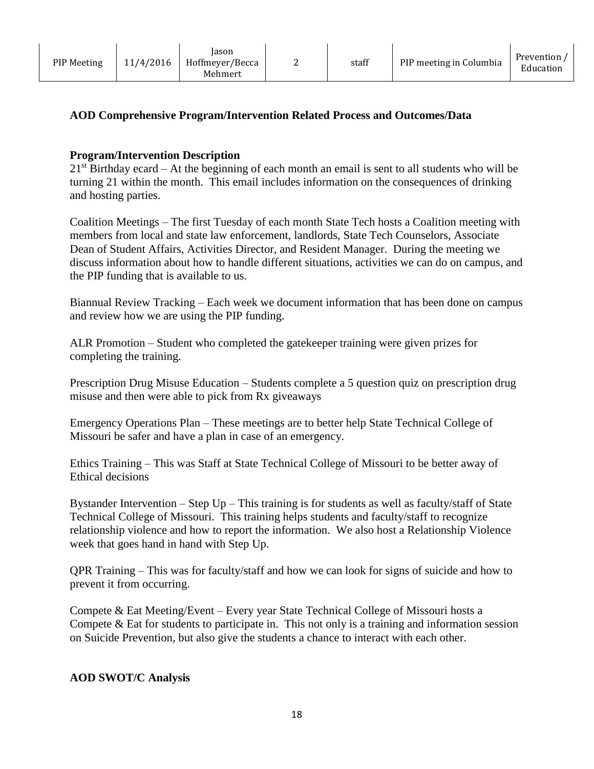| <b>PIP Meeting</b> | 11/4/2016 | lason<br>Hoffmeyer/Becca<br>Mehmert |  | staff | PIP meeting in Columbia | Prevention /<br>Education |
|--------------------|-----------|-------------------------------------|--|-------|-------------------------|---------------------------|
|--------------------|-----------|-------------------------------------|--|-------|-------------------------|---------------------------|

# **AOD Comprehensive Program/Intervention Related Process and Outcomes/Data**

## **Program/Intervention Description**

 $21<sup>st</sup>$  Birthday ecard – At the beginning of each month an email is sent to all students who will be turning 21 within the month. This email includes information on the consequences of drinking and hosting parties.

Coalition Meetings – The first Tuesday of each month State Tech hosts a Coalition meeting with members from local and state law enforcement, landlords, State Tech Counselors, Associate Dean of Student Affairs, Activities Director, and Resident Manager. During the meeting we discuss information about how to handle different situations, activities we can do on campus, and the PIP funding that is available to us.

Biannual Review Tracking – Each week we document information that has been done on campus and review how we are using the PIP funding.

ALR Promotion – Student who completed the gatekeeper training were given prizes for completing the training.

Prescription Drug Misuse Education – Students complete a 5 question quiz on prescription drug misuse and then were able to pick from Rx giveaways

Emergency Operations Plan – These meetings are to better help State Technical College of Missouri be safer and have a plan in case of an emergency.

Ethics Training – This was Staff at State Technical College of Missouri to be better away of Ethical decisions

Bystander Intervention – Step Up – This training is for students as well as faculty/staff of State Technical College of Missouri. This training helps students and faculty/staff to recognize relationship violence and how to report the information. We also host a Relationship Violence week that goes hand in hand with Step Up.

QPR Training – This was for faculty/staff and how we can look for signs of suicide and how to prevent it from occurring.

Compete & Eat Meeting/Event – Every year State Technical College of Missouri hosts a Compete & Eat for students to participate in. This not only is a training and information session on Suicide Prevention, but also give the students a chance to interact with each other.

#### **AOD SWOT/C Analysis**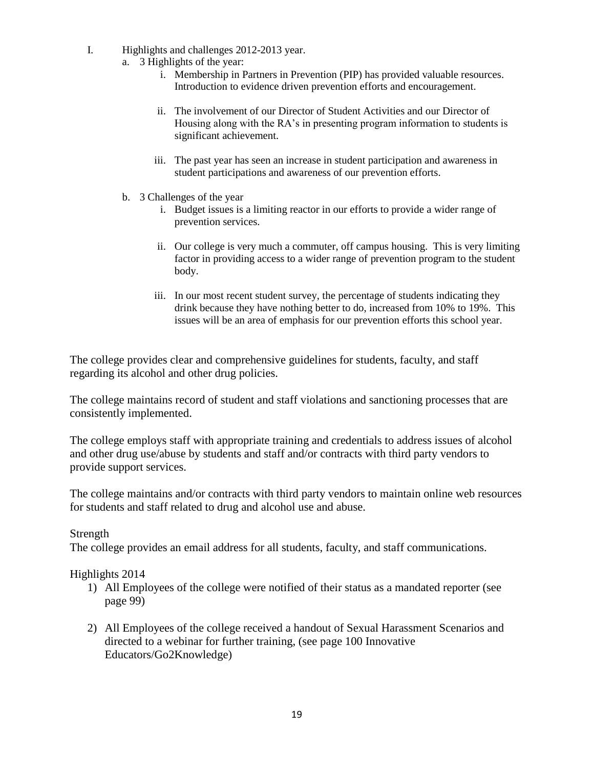- I. Highlights and challenges 2012-2013 year.
	- a. 3 Highlights of the year:
		- i. Membership in Partners in Prevention (PIP) has provided valuable resources. Introduction to evidence driven prevention efforts and encouragement.
		- ii. The involvement of our Director of Student Activities and our Director of Housing along with the RA's in presenting program information to students is significant achievement.
		- iii. The past year has seen an increase in student participation and awareness in student participations and awareness of our prevention efforts.
	- b. 3 Challenges of the year
		- i. Budget issues is a limiting reactor in our efforts to provide a wider range of prevention services.
		- ii. Our college is very much a commuter, off campus housing. This is very limiting factor in providing access to a wider range of prevention program to the student body.
		- iii. In our most recent student survey, the percentage of students indicating they drink because they have nothing better to do, increased from 10% to 19%. This issues will be an area of emphasis for our prevention efforts this school year.

The college provides clear and comprehensive guidelines for students, faculty, and staff regarding its alcohol and other drug policies.

The college maintains record of student and staff violations and sanctioning processes that are consistently implemented.

The college employs staff with appropriate training and credentials to address issues of alcohol and other drug use/abuse by students and staff and/or contracts with third party vendors to provide support services.

The college maintains and/or contracts with third party vendors to maintain online web resources for students and staff related to drug and alcohol use and abuse.

#### Strength

The college provides an email address for all students, faculty, and staff communications.

#### Highlights 2014

- 1) All Employees of the college were notified of their status as a mandated reporter (see page 99)
- 2) All Employees of the college received a handout of Sexual Harassment Scenarios and directed to a webinar for further training, (see page 100 Innovative Educators/Go2Knowledge)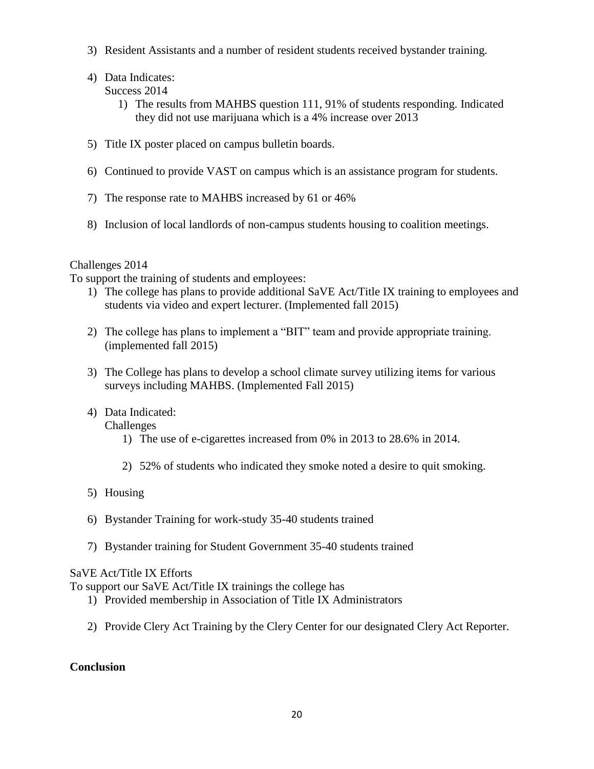- 3) Resident Assistants and a number of resident students received bystander training.
- 4) Data Indicates: Success 2014
	- 1) The results from MAHBS question 111, 91% of students responding. Indicated they did not use marijuana which is a 4% increase over 2013
- 5) Title IX poster placed on campus bulletin boards.
- 6) Continued to provide VAST on campus which is an assistance program for students.
- 7) The response rate to MAHBS increased by 61 or 46%
- 8) Inclusion of local landlords of non-campus students housing to coalition meetings.

# Challenges 2014

To support the training of students and employees:

- 1) The college has plans to provide additional SaVE Act/Title IX training to employees and students via video and expert lecturer. (Implemented fall 2015)
- 2) The college has plans to implement a "BIT" team and provide appropriate training. (implemented fall 2015)
- 3) The College has plans to develop a school climate survey utilizing items for various surveys including MAHBS. (Implemented Fall 2015)
- 4) Data Indicated:

Challenges

- 1) The use of e-cigarettes increased from 0% in 2013 to 28.6% in 2014.
- 2) 52% of students who indicated they smoke noted a desire to quit smoking.
- 5) Housing
- 6) Bystander Training for work-study 35-40 students trained
- 7) Bystander training for Student Government 35-40 students trained

# SaVE Act/Title IX Efforts

To support our SaVE Act/Title IX trainings the college has

- 1) Provided membership in Association of Title IX Administrators
- 2) Provide Clery Act Training by the Clery Center for our designated Clery Act Reporter.

# **Conclusion**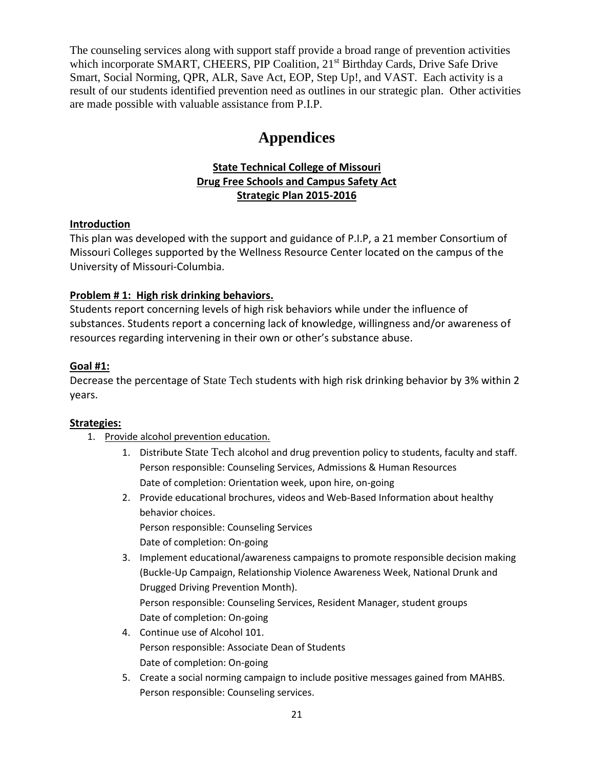The counseling services along with support staff provide a broad range of prevention activities which incorporate SMART, CHEERS, PIP Coalition, 21<sup>st</sup> Birthday Cards, Drive Safe Drive Smart, Social Norming, QPR, ALR, Save Act, EOP, Step Up!, and VAST. Each activity is a result of our students identified prevention need as outlines in our strategic plan. Other activities are made possible with valuable assistance from P.I.P.

# **Appendices**

# **State Technical College of Missouri Drug Free Schools and Campus Safety Act Strategic Plan 2015-2016**

## **Introduction**

This plan was developed with the support and guidance of P.I.P, a 21 member Consortium of Missouri Colleges supported by the Wellness Resource Center located on the campus of the University of Missouri-Columbia.

# **Problem # 1: High risk drinking behaviors.**

Students report concerning levels of high risk behaviors while under the influence of substances. Students report a concerning lack of knowledge, willingness and/or awareness of resources regarding intervening in their own or other's substance abuse.

## **Goal #1:**

Decrease the percentage of State Tech students with high risk drinking behavior by 3% within 2 years.

#### **Strategies:**

- 1. Provide alcohol prevention education.
	- 1. Distribute State Tech alcohol and drug prevention policy to students, faculty and staff. Person responsible: Counseling Services, Admissions & Human Resources Date of completion: Orientation week, upon hire, on-going
	- 2. Provide educational brochures, videos and Web-Based Information about healthy behavior choices. Person responsible: Counseling Services
		- Date of completion: On-going
	- 3. Implement educational/awareness campaigns to promote responsible decision making (Buckle-Up Campaign, Relationship Violence Awareness Week, National Drunk and Drugged Driving Prevention Month). Person responsible: Counseling Services, Resident Manager, student groups Date of completion: On-going
	- 4. Continue use of Alcohol 101. Person responsible: Associate Dean of Students Date of completion: On-going
	- 5. Create a social norming campaign to include positive messages gained from MAHBS. Person responsible: Counseling services.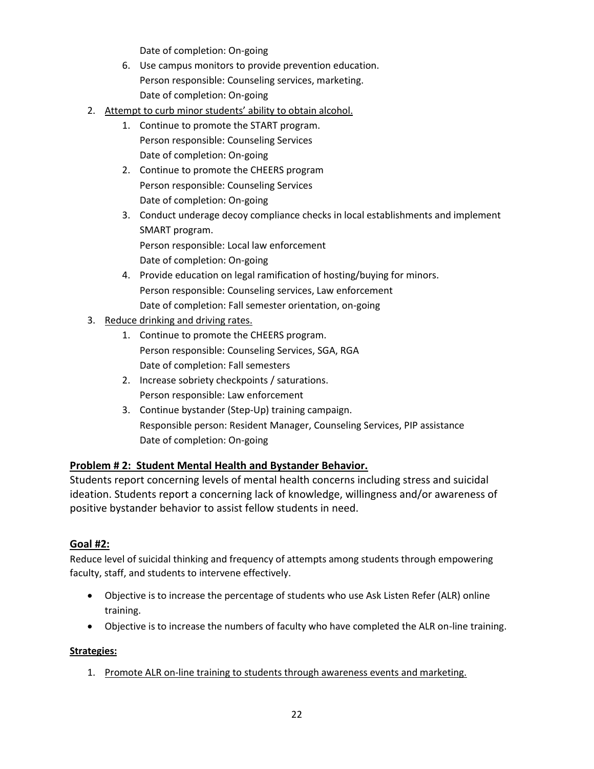Date of completion: On-going

- 6. Use campus monitors to provide prevention education. Person responsible: Counseling services, marketing. Date of completion: On-going
- 2. Attempt to curb minor students' ability to obtain alcohol.
	- 1. Continue to promote the START program. Person responsible: Counseling Services Date of completion: On-going
	- 2. Continue to promote the CHEERS program Person responsible: Counseling Services Date of completion: On-going
	- 3. Conduct underage decoy compliance checks in local establishments and implement SMART program. Person responsible: Local law enforcement

Date of completion: On-going

- 4. Provide education on legal ramification of hosting/buying for minors. Person responsible: Counseling services, Law enforcement Date of completion: Fall semester orientation, on-going
- 3. Reduce drinking and driving rates.
	- 1. Continue to promote the CHEERS program. Person responsible: Counseling Services, SGA, RGA Date of completion: Fall semesters
	- 2. Increase sobriety checkpoints / saturations. Person responsible: Law enforcement
	- 3. Continue bystander (Step-Up) training campaign. Responsible person: Resident Manager, Counseling Services, PIP assistance Date of completion: On-going

# **Problem # 2: Student Mental Health and Bystander Behavior.**

Students report concerning levels of mental health concerns including stress and suicidal ideation. Students report a concerning lack of knowledge, willingness and/or awareness of positive bystander behavior to assist fellow students in need.

#### **Goal #2:**

Reduce level of suicidal thinking and frequency of attempts among students through empowering faculty, staff, and students to intervene effectively.

- Objective is to increase the percentage of students who use Ask Listen Refer (ALR) online training.
- Objective is to increase the numbers of faculty who have completed the ALR on-line training.

#### **Strategies:**

1. Promote ALR on-line training to students through awareness events and marketing.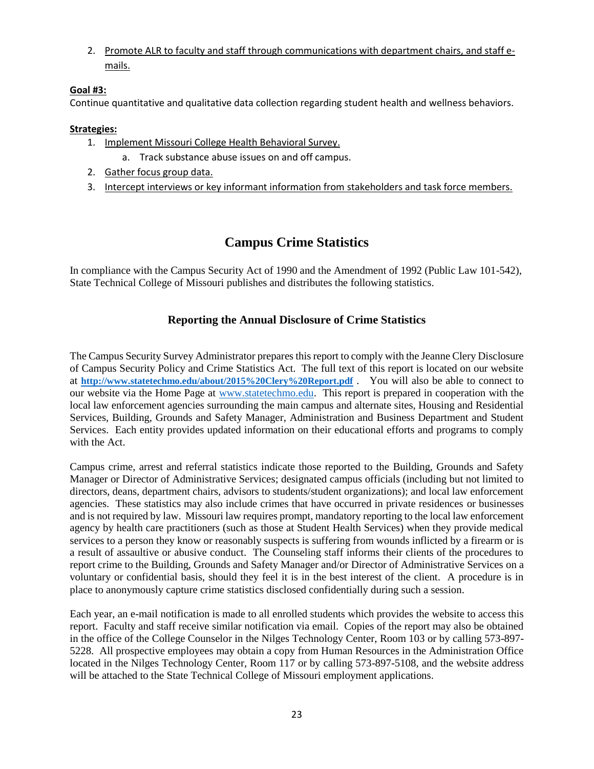2. Promote ALR to faculty and staff through communications with department chairs, and staff emails.

#### **Goal #3:**

Continue quantitative and qualitative data collection regarding student health and wellness behaviors.

#### **Strategies:**

- 1. Implement Missouri College Health Behavioral Survey.
- a. Track substance abuse issues on and off campus.
- 2. Gather focus group data.
- 3. Intercept interviews or key informant information from stakeholders and task force members.

# **Campus Crime Statistics**

In compliance with the Campus Security Act of 1990 and the Amendment of 1992 (Public Law 101-542), State Technical College of Missouri publishes and distributes the following statistics.

## **Reporting the Annual Disclosure of Crime Statistics**

The Campus Security Survey Administrator prepares this report to comply with the Jeanne Clery Disclosure of Campus Security Policy and Crime Statistics Act. The full text of this report is located on our website at **<http://www.statetechmo.edu/about/2015%20Clery%20Report.pdf>** . You will also be able to connect to our website via the Home Page at [www.statetechmo.edu.](http://www.statetechmo.edu/) This report is prepared in cooperation with the local law enforcement agencies surrounding the main campus and alternate sites, Housing and Residential Services, Building, Grounds and Safety Manager, Administration and Business Department and Student Services. Each entity provides updated information on their educational efforts and programs to comply with the Act.

Campus crime, arrest and referral statistics indicate those reported to the Building, Grounds and Safety Manager or Director of Administrative Services; designated campus officials (including but not limited to directors, deans, department chairs, advisors to students/student organizations); and local law enforcement agencies. These statistics may also include crimes that have occurred in private residences or businesses and is not required by law. Missouri law requires prompt, mandatory reporting to the local law enforcement agency by health care practitioners (such as those at Student Health Services) when they provide medical services to a person they know or reasonably suspects is suffering from wounds inflicted by a firearm or is a result of assaultive or abusive conduct. The Counseling staff informs their clients of the procedures to report crime to the Building, Grounds and Safety Manager and/or Director of Administrative Services on a voluntary or confidential basis, should they feel it is in the best interest of the client. A procedure is in place to anonymously capture crime statistics disclosed confidentially during such a session.

Each year, an e-mail notification is made to all enrolled students which provides the website to access this report. Faculty and staff receive similar notification via email. Copies of the report may also be obtained in the office of the College Counselor in the Nilges Technology Center, Room 103 or by calling 573-897- 5228. All prospective employees may obtain a copy from Human Resources in the Administration Office located in the Nilges Technology Center, Room 117 or by calling 573-897-5108, and the website address will be attached to the State Technical College of Missouri employment applications.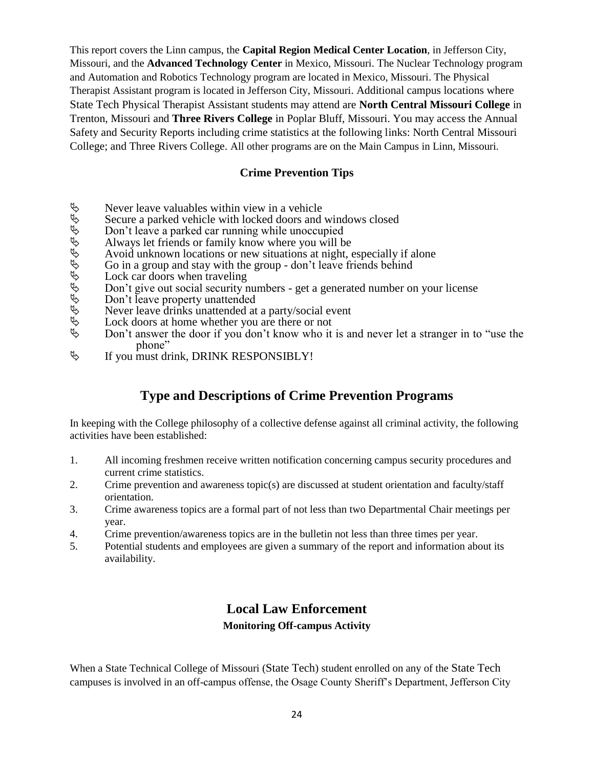This report covers the Linn campus, the **Capital Region Medical Center Location**, in Jefferson City, Missouri, and the **Advanced Technology Center** in Mexico, Missouri. The Nuclear Technology program and Automation and Robotics Technology program are located in Mexico, Missouri. The Physical Therapist Assistant program is located in Jefferson City, Missouri. Additional campus locations where State Tech Physical Therapist Assistant students may attend are **North Central Missouri College** in Trenton, Missouri and **Three Rivers College** in Poplar Bluff, Missouri. You may access the Annual Safety and Security Reports including crime statistics at the following links: North Central Missouri College; and Three Rivers College. All other programs are on the Main Campus in Linn, Missouri.

#### **Crime Prevention Tips**

- 
- Never leave valuables within view in a vehicle<br>  $\uparrow\downarrow\downarrow$  Secure a parked vehicle with locked doors and<br>
Don't leave a parked car running while unoccup<br>
Always let friends or family know where you w<br>
Avoid unknown locat Secure a parked vehicle with locked doors and windows closed
- Don't leave a parked car running while unoccupied
- Always let friends or family know where you will be
- Avoid unknown locations or new situations at night, especially if alone
- Go in a group and stay with the group don't leave friends behind
- Lock car doors when traveling
- Don't give out social security numbers get a generated number on your license
- Don't leave property unattended
- Never leave drinks unattended at a party/social event
- Lock doors at home whether you are there or not
- Don't answer the door if you don't know who it is and never let a stranger in to "use the phone"
- $\psi$  If you must drink, DRINK RESPONSIBLY!

# **Type and Descriptions of Crime Prevention Programs**

In keeping with the College philosophy of a collective defense against all criminal activity, the following activities have been established:

- 1. All incoming freshmen receive written notification concerning campus security procedures and current crime statistics.
- 2. Crime prevention and awareness topic(s) are discussed at student orientation and faculty/staff orientation.
- 3. Crime awareness topics are a formal part of not less than two Departmental Chair meetings per year.
- 4. Crime prevention/awareness topics are in the bulletin not less than three times per year.
- 5. Potential students and employees are given a summary of the report and information about its availability.

# **Local Law Enforcement**

#### **Monitoring Off-campus Activity**

When a State Technical College of Missouri (State Tech) student enrolled on any of the State Tech campuses is involved in an off-campus offense, the Osage County Sheriff's Department, Jefferson City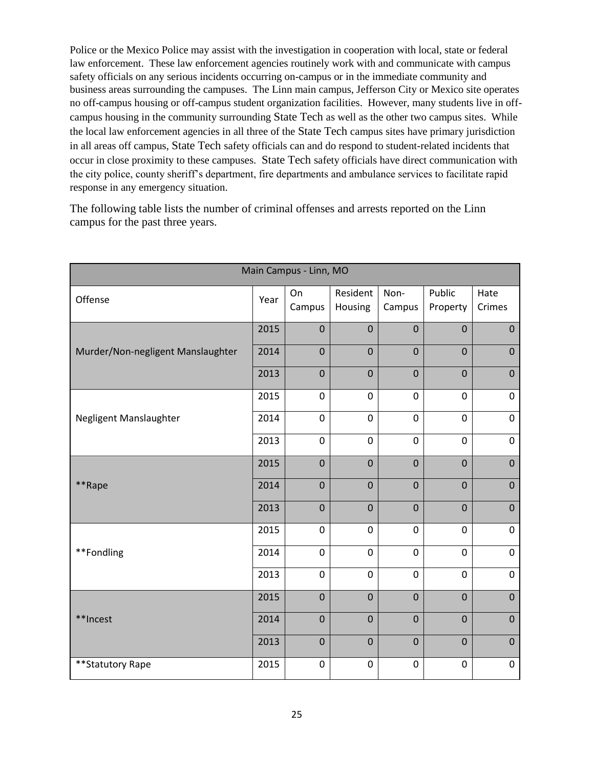Police or the Mexico Police may assist with the investigation in cooperation with local, state or federal law enforcement. These law enforcement agencies routinely work with and communicate with campus safety officials on any serious incidents occurring on-campus or in the immediate community and business areas surrounding the campuses. The Linn main campus, Jefferson City or Mexico site operates no off-campus housing or off-campus student organization facilities. However, many students live in offcampus housing in the community surrounding State Tech as well as the other two campus sites. While the local law enforcement agencies in all three of the State Tech campus sites have primary jurisdiction in all areas off campus, State Tech safety officials can and do respond to student-related incidents that occur in close proximity to these campuses. State Tech safety officials have direct communication with the city police, county sheriff's department, fire departments and ambulance services to facilitate rapid response in any emergency situation.

The following table lists the number of criminal offenses and arrests reported on the Linn campus for the past three years.

| Main Campus - Linn, MO            |      |                  |                     |                  |                    |                  |  |  |  |  |
|-----------------------------------|------|------------------|---------------------|------------------|--------------------|------------------|--|--|--|--|
| Offense                           | Year | On<br>Campus     | Resident<br>Housing | Non-<br>Campus   | Public<br>Property | Hate<br>Crimes   |  |  |  |  |
|                                   | 2015 | $\mathbf 0$      | $\mathbf 0$         | $\mathbf 0$      | $\mathbf 0$        | $\mathbf 0$      |  |  |  |  |
| Murder/Non-negligent Manslaughter | 2014 | $\mathbf 0$      | $\mathbf 0$         | $\mathbf 0$      | $\mathbf 0$        | $\mathbf 0$      |  |  |  |  |
|                                   | 2013 | $\mathbf 0$      | $\mathbf 0$         | $\mathbf 0$      | $\mathbf 0$        | $\mathbf 0$      |  |  |  |  |
|                                   | 2015 | $\mathbf 0$      | $\mathbf 0$         | $\mathbf 0$      | $\mathbf 0$        | $\mathbf 0$      |  |  |  |  |
| Negligent Manslaughter            | 2014 | $\mathbf 0$      | $\mathbf 0$         | $\mathbf 0$      | $\mathbf 0$        | 0                |  |  |  |  |
|                                   | 2013 | $\mathbf 0$      | $\mathbf 0$         | $\mathbf 0$      | $\mathbf 0$        | 0                |  |  |  |  |
|                                   | 2015 | $\overline{0}$   | $\overline{0}$      | $\mathbf 0$      | $\mathbf 0$        | $\mathbf 0$      |  |  |  |  |
| **Rape                            | 2014 | $\mathbf 0$      | $\mathbf 0$         | $\mathbf 0$      | $\mathbf 0$        | $\mathbf 0$      |  |  |  |  |
|                                   | 2013 | $\mathbf 0$      | $\mathbf 0$         | $\mathbf 0$      | $\mathbf 0$        | $\mathbf 0$      |  |  |  |  |
|                                   | 2015 | $\mathbf 0$      | $\mathbf 0$         | $\mathbf 0$      | $\mathbf 0$        | 0                |  |  |  |  |
| **Fondling                        | 2014 | $\mathbf 0$      | $\mathbf 0$         | $\mathbf 0$      | $\mathbf 0$        | 0                |  |  |  |  |
|                                   | 2013 | $\mathbf 0$      | $\mathbf 0$         | $\mathbf 0$      | $\overline{0}$     | $\mathbf 0$      |  |  |  |  |
|                                   | 2015 | $\mathbf 0$      | $\mathbf 0$         | $\mathbf 0$      | $\mathbf 0$        | $\mathbf 0$      |  |  |  |  |
| **Incest                          | 2014 | $\mathbf 0$      | $\mathbf 0$         | $\mathbf 0$      | $\mathbf 0$        | $\boldsymbol{0}$ |  |  |  |  |
|                                   | 2013 | $\mathbf 0$      | $\mathbf 0$         | $\mathbf 0$      | $\mathbf 0$        | $\mathbf 0$      |  |  |  |  |
| ** Statutory Rape                 | 2015 | $\boldsymbol{0}$ | $\boldsymbol{0}$    | $\boldsymbol{0}$ | 0                  | 0                |  |  |  |  |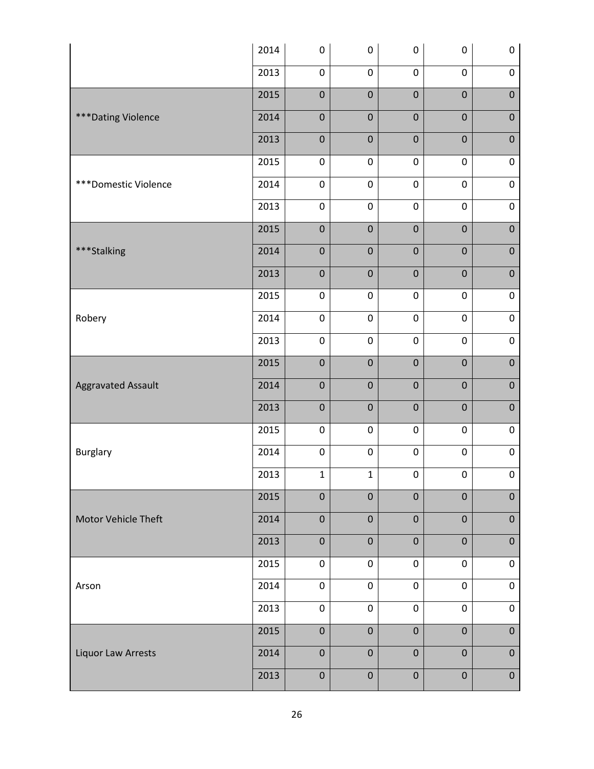|                            | 2014 | $\boldsymbol{0}$ | $\pmb{0}$    | $\boldsymbol{0}$ | $\pmb{0}$        | $\pmb{0}$        |
|----------------------------|------|------------------|--------------|------------------|------------------|------------------|
|                            | 2013 | $\pmb{0}$        | $\pmb{0}$    | $\boldsymbol{0}$ | $\pmb{0}$        | $\pmb{0}$        |
|                            | 2015 | $\pmb{0}$        | $\pmb{0}$    | $\mathbf 0$      | $\mathbf 0$      | $\pmb{0}$        |
| *** Dating Violence        | 2014 | $\mathbf 0$      | $\mathbf 0$  | $\mathbf 0$      | $\mathbf 0$      | $\pmb{0}$        |
|                            | 2013 | $\mathbf 0$      | $\mathbf 0$  | $\mathbf 0$      | $\mathbf 0$      | $\pmb{0}$        |
|                            | 2015 | $\pmb{0}$        | $\pmb{0}$    | $\boldsymbol{0}$ | $\boldsymbol{0}$ | $\pmb{0}$        |
| ***Domestic Violence       | 2014 | $\pmb{0}$        | $\pmb{0}$    | $\boldsymbol{0}$ | $\pmb{0}$        | $\pmb{0}$        |
|                            | 2013 | $\pmb{0}$        | $\pmb{0}$    | $\boldsymbol{0}$ | $\pmb{0}$        | $\pmb{0}$        |
|                            | 2015 | $\pmb{0}$        | $\pmb{0}$    | $\mathbf 0$      | $\mathbf 0$      | $\pmb{0}$        |
| ***Stalking                | 2014 | $\mathbf 0$      | $\mathbf 0$  | $\mathbf 0$      | $\mathbf 0$      | $\pmb{0}$        |
|                            | 2013 | $\mathbf 0$      | $\pmb{0}$    | $\mathbf 0$      | $\mathbf 0$      | $\pmb{0}$        |
|                            | 2015 | $\pmb{0}$        | $\pmb{0}$    | $\pmb{0}$        | $\pmb{0}$        | $\pmb{0}$        |
| Robery                     | 2014 | $\pmb{0}$        | $\pmb{0}$    | $\boldsymbol{0}$ | $\pmb{0}$        | $\pmb{0}$        |
|                            | 2013 | $\pmb{0}$        | $\pmb{0}$    | $\boldsymbol{0}$ | $\pmb{0}$        | $\pmb{0}$        |
|                            | 2015 | $\pmb{0}$        | $\pmb{0}$    | $\boldsymbol{0}$ | $\mathbf 0$      | $\pmb{0}$        |
| Aggravated Assault         | 2014 | $\mathbf 0$      | $\mathbf 0$  | $\mathbf 0$      | $\mathbf 0$      | $\mathbf 0$      |
|                            | 2013 | $\boldsymbol{0}$ | $\mathbf 0$  | $\boldsymbol{0}$ | $\mathbf 0$      | $\pmb{0}$        |
|                            | 2015 | $\mathbf 0$      | $\pmb{0}$    | $\boldsymbol{0}$ | $\boldsymbol{0}$ | $\pmb{0}$        |
| Burglary                   | 2014 | $\pmb{0}$        | $\pmb{0}$    | 0                | $\boldsymbol{0}$ | $\pmb{0}$        |
|                            | 2013 | $\mathbf 1$      | $\mathbf 1$  | 0                | $\pmb{0}$        | $\pmb{0}$        |
|                            | 2015 | $\mathbf 0$      | $\mathbf{0}$ | $\pmb{0}$        | $\pmb{0}$        | $\overline{0}$   |
| <b>Motor Vehicle Theft</b> | 2014 | $\mathbf 0$      | $\mathbf 0$  | $\mathbf 0$      | $\mathbf 0$      | $\mathbf 0$      |
|                            | 2013 | $\pmb{0}$        | $\pmb{0}$    | $\mathbf 0$      | $\mathbf 0$      | $\pmb{0}$        |
|                            | 2015 | $\pmb{0}$        | $\pmb{0}$    | $\pmb{0}$        | $\pmb{0}$        | $\mathbf 0$      |
| Arson                      | 2014 | $\pmb{0}$        | $\pmb{0}$    | $\pmb{0}$        | $\pmb{0}$        | $\pmb{0}$        |
|                            | 2013 | $\mathbf 0$      | $\pmb{0}$    | $\pmb{0}$        | $\pmb{0}$        | $\pmb{0}$        |
|                            | 2015 | $\pmb{0}$        | $\pmb{0}$    | $\pmb{0}$        | $\boldsymbol{0}$ | $\pmb{0}$        |
| <b>Liquor Law Arrests</b>  | 2014 | $\mathbf 0$      | $\mathbf 0$  | $\mathbf 0$      | $\mathbf 0$      | $\pmb{0}$        |
|                            | 2013 | $\pmb{0}$        | $\pmb{0}$    | $\boldsymbol{0}$ | $\boldsymbol{0}$ | $\boldsymbol{0}$ |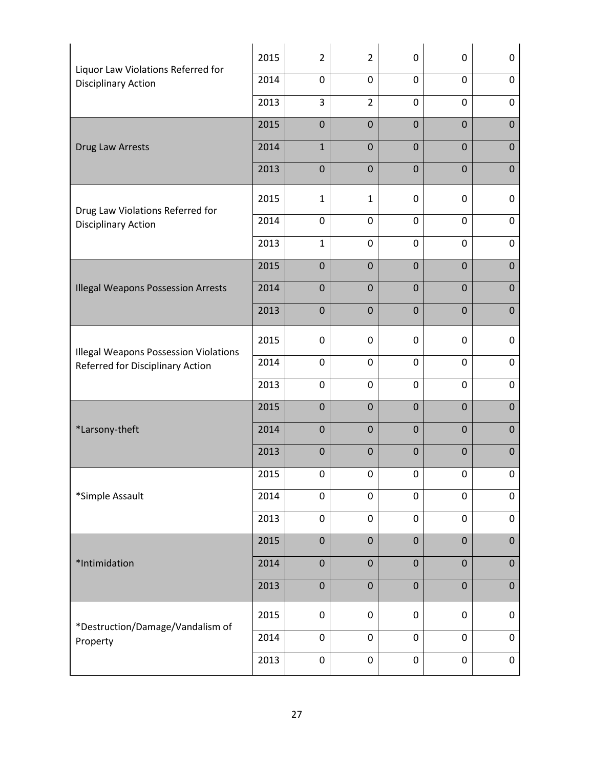| Liquor Law Violations Referred for           | 2015 | $\overline{2}$ | $\overline{2}$   | $\mathbf 0$      | $\mathbf 0$    | 0              |
|----------------------------------------------|------|----------------|------------------|------------------|----------------|----------------|
| <b>Disciplinary Action</b>                   |      | $\mathbf 0$    | 0                | $\mathbf 0$      | $\mathbf 0$    | $\mathbf 0$    |
|                                              | 2013 | 3              | $\overline{2}$   | $\mathbf 0$      | $\mathbf 0$    | $\mathbf 0$    |
|                                              | 2015 | $\mathbf 0$    | $\overline{0}$   | $\overline{0}$   | $\overline{0}$ | $\mathbf 0$    |
| Drug Law Arrests                             | 2014 | $\mathbf 1$    | $\overline{0}$   | $\mathbf{0}$     | $\mathbf{0}$   | $\mathbf 0$    |
|                                              | 2013 | $\mathbf 0$    | $\mathbf 0$      | $\mathbf 0$      | $\mathbf 0$    | $\mathbf 0$    |
| Drug Law Violations Referred for             | 2015 | $\mathbf{1}$   | $\mathbf{1}$     | $\mathbf{0}$     | $\mathbf 0$    | 0              |
| <b>Disciplinary Action</b>                   | 2014 | $\mathbf 0$    | 0                | $\mathbf 0$      | $\mathbf 0$    | $\pmb{0}$      |
|                                              | 2013 | $\mathbf{1}$   | $\mathbf 0$      | $\mathbf 0$      | $\mathbf 0$    | 0              |
|                                              | 2015 | $\mathbf 0$    | $\overline{0}$   | $\overline{0}$   | $\mathbf{0}$   | $\mathbf 0$    |
| <b>Illegal Weapons Possession Arrests</b>    | 2014 | $\mathbf 0$    | $\overline{0}$   | $\overline{0}$   | $\overline{0}$ | $\mathbf 0$    |
|                                              | 2013 | $\mathbf 0$    | $\mathbf 0$      | $\overline{0}$   | $\mathbf{0}$   | $\mathbf 0$    |
| <b>Illegal Weapons Possession Violations</b> | 2015 | $\mathbf 0$    | 0                | $\mathbf 0$      | $\mathbf 0$    | 0              |
| Referred for Disciplinary Action             | 2014 | $\mathbf 0$    | $\mathbf 0$      | $\mathbf 0$      | $\mathbf 0$    | 0              |
|                                              | 2013 | $\mathbf 0$    | $\mathbf 0$      | $\mathbf 0$      | $\mathbf 0$    | 0              |
|                                              | 2015 | $\mathbf 0$    | $\mathbf 0$      | $\overline{0}$   | $\mathbf 0$    | $\mathbf 0$    |
| *Larsony-theft                               | 2014 | $\mathbf 0$    | $\mathbf 0$      | $\mathbf{0}$     | $\mathbf{0}$   | $\mathbf 0$    |
|                                              | 2013 | $\mathbf 0$    | $\mathbf 0$      | $\overline{0}$   | $\overline{0}$ | $\mathbf 0$    |
|                                              | 2015 | 0              | 0                | $\pmb{0}$        | 0              | $\pmb{0}$      |
| *Simple Assault                              | 2014 | $\pmb{0}$      | $\boldsymbol{0}$ | $\pmb{0}$        | $\mathbf 0$    | $\mathbf 0$    |
|                                              | 2013 | $\pmb{0}$      | $\pmb{0}$        | $\pmb{0}$        | $\pmb{0}$      | 0              |
|                                              | 2015 | $\pmb{0}$      | $\boldsymbol{0}$ | $\mathbf 0$      | $\pmb{0}$      | $\overline{0}$ |
| *Intimidation                                | 2014 | $\pmb{0}$      | $\pmb{0}$        | $\pmb{0}$        | $\pmb{0}$      | $\pmb{0}$      |
|                                              | 2013 | $\pmb{0}$      | $\pmb{0}$        | $\boldsymbol{0}$ | $\mathbf 0$    | $\pmb{0}$      |
| *Destruction/Damage/Vandalism of             | 2015 | $\pmb{0}$      | $\pmb{0}$        | $\mathbf 0$      | $\mathbf 0$    | 0              |
| Property                                     | 2014 | $\pmb{0}$      | $\boldsymbol{0}$ | $\mathbf 0$      | $\mathbf 0$    | $\pmb{0}$      |
|                                              | 2013 | $\pmb{0}$      | $\boldsymbol{0}$ | $\pmb{0}$        | $\mathbf 0$    | $\pmb{0}$      |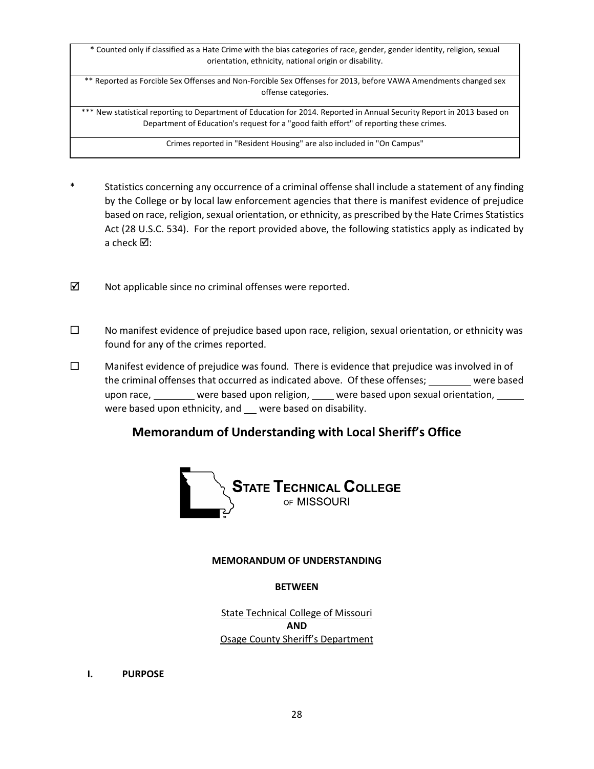\* Counted only if classified as a Hate Crime with the bias categories of race, gender, gender identity, religion, sexual orientation, ethnicity, national origin or disability.

\*\* Reported as Forcible Sex Offenses and Non-Forcible Sex Offenses for 2013, before VAWA Amendments changed sex offense categories.

\*\*\* New statistical reporting to Department of Education for 2014. Reported in Annual Security Report in 2013 based on Department of Education's request for a "good faith effort" of reporting these crimes.

Crimes reported in "Resident Housing" are also included in "On Campus"

- Statistics concerning any occurrence of a criminal offense shall include a statement of any finding by the College or by local law enforcement agencies that there is manifest evidence of prejudice based on race, religion, sexual orientation, or ethnicity, as prescribed by the Hate Crimes Statistics Act (28 U.S.C. 534). For the report provided above, the following statistics apply as indicated by a check  $\boxtimes$ :
- $\boxtimes$  Not applicable since no criminal offenses were reported.
- $\square$  No manifest evidence of prejudice based upon race, religion, sexual orientation, or ethnicity was found for any of the crimes reported.
- $\square$  Manifest evidence of prejudice was found. There is evidence that prejudice was involved in of the criminal offenses that occurred as indicated above. Of these offenses; were based upon race, were based upon religion, were based upon sexual orientation, where based upon race, were based upon ethnicity, and \_\_ were based on disability.

# **Memorandum of Understanding with Local Sheriff's Office**



#### **MEMORANDUM OF UNDERSTANDING**

#### **BETWEEN**

State Technical College of Missouri **AND** Osage County Sheriff's Department

**I. PURPOSE**